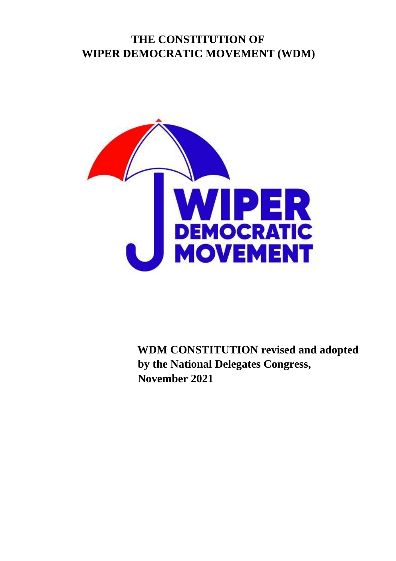#### **THE CONSTITUTION OF WIPER DEMOCRATIC MOVEMENT (WDM)**



**WDM CONSTITUTION revised and adopted by the National Delegates Congress, November 2021**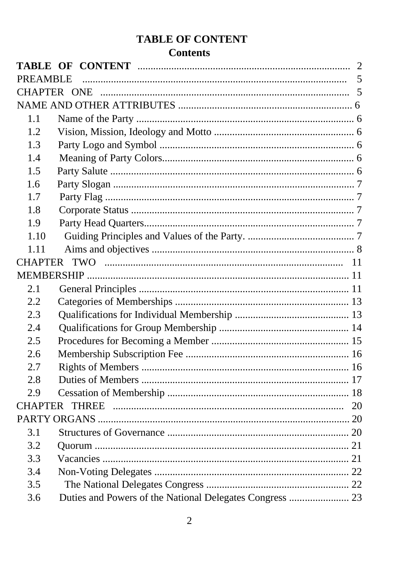## **TABLE OF CONTENT**

#### **Contents**

| PREAMBLE |  |  |  |
|----------|--|--|--|
|          |  |  |  |
|          |  |  |  |
| 1.1      |  |  |  |
| 1.2      |  |  |  |
| 1.3      |  |  |  |
| 1.4      |  |  |  |
| 1.5      |  |  |  |
| 1.6      |  |  |  |
| 1.7      |  |  |  |
| 1.8      |  |  |  |
| 1.9      |  |  |  |
| 1.10     |  |  |  |
| 1.11     |  |  |  |
|          |  |  |  |
|          |  |  |  |
| 2.1      |  |  |  |
| 2.2      |  |  |  |
| 2.3      |  |  |  |
| 2.4      |  |  |  |
| 2.5      |  |  |  |
| 2.6      |  |  |  |
| 2.7      |  |  |  |
| 2.8      |  |  |  |
| 2.9      |  |  |  |
|          |  |  |  |
|          |  |  |  |
| 3.1      |  |  |  |
| 3.2      |  |  |  |
| 3.3      |  |  |  |
| 3.4      |  |  |  |
| 3.5      |  |  |  |
| 3.6      |  |  |  |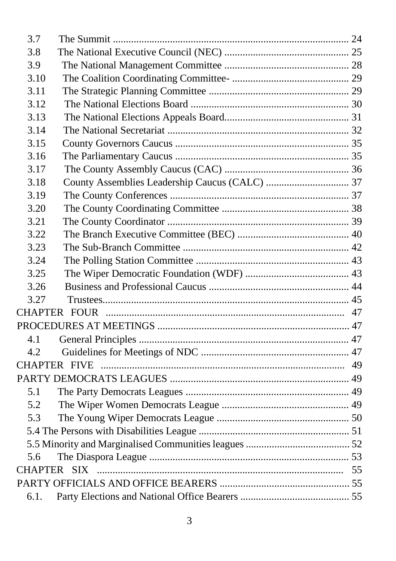| 3.7  |  |  |  |
|------|--|--|--|
| 3.8  |  |  |  |
| 3.9  |  |  |  |
| 3.10 |  |  |  |
| 3.11 |  |  |  |
| 3.12 |  |  |  |
| 3.13 |  |  |  |
| 3.14 |  |  |  |
| 3.15 |  |  |  |
| 3.16 |  |  |  |
| 3.17 |  |  |  |
| 3.18 |  |  |  |
| 3.19 |  |  |  |
| 3.20 |  |  |  |
| 3.21 |  |  |  |
| 3.22 |  |  |  |
| 3.23 |  |  |  |
| 3.24 |  |  |  |
| 3.25 |  |  |  |
| 3.26 |  |  |  |
| 3.27 |  |  |  |
|      |  |  |  |
|      |  |  |  |
| 4.1  |  |  |  |
| 4.2  |  |  |  |
|      |  |  |  |
|      |  |  |  |
| 5.1  |  |  |  |
| 5.2  |  |  |  |
| 5.3  |  |  |  |
|      |  |  |  |
|      |  |  |  |
| 5.6  |  |  |  |
|      |  |  |  |
|      |  |  |  |
| 6.1. |  |  |  |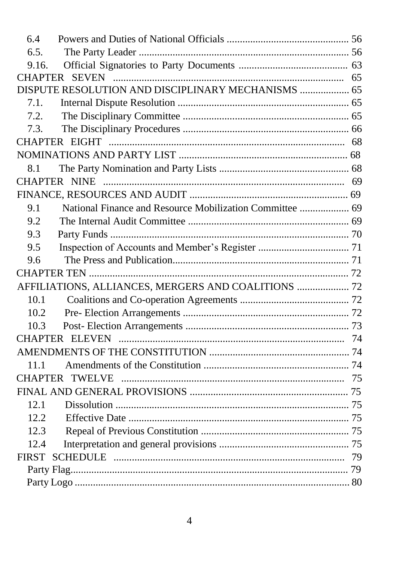| 6.4                                                |                                                          |  |  |
|----------------------------------------------------|----------------------------------------------------------|--|--|
| 6.5.                                               |                                                          |  |  |
| 9.16.                                              |                                                          |  |  |
|                                                    |                                                          |  |  |
| DISPUTE RESOLUTION AND DISCIPLINARY MECHANISMS  65 |                                                          |  |  |
| 7.1.                                               |                                                          |  |  |
| 7.2.                                               |                                                          |  |  |
| 7.3.                                               |                                                          |  |  |
|                                                    |                                                          |  |  |
|                                                    |                                                          |  |  |
| 8.1                                                |                                                          |  |  |
|                                                    |                                                          |  |  |
|                                                    |                                                          |  |  |
| 9.1                                                | National Finance and Resource Mobilization Committee  69 |  |  |
| 9.2                                                |                                                          |  |  |
| 9.3                                                |                                                          |  |  |
| 9.5                                                |                                                          |  |  |
| 9.6                                                |                                                          |  |  |
|                                                    |                                                          |  |  |
|                                                    | AFFILIATIONS, ALLIANCES, MERGERS AND COALITIONS  72      |  |  |
| 10.1                                               |                                                          |  |  |
| 10.2                                               |                                                          |  |  |
| 10.3                                               |                                                          |  |  |
|                                                    | <b>CHAPTER ELEVEN</b>                                    |  |  |
|                                                    |                                                          |  |  |
| 11.1                                               |                                                          |  |  |
|                                                    |                                                          |  |  |
|                                                    |                                                          |  |  |
| 12.1                                               |                                                          |  |  |
| 12.2                                               |                                                          |  |  |
| 12.3                                               |                                                          |  |  |
| 12.4                                               |                                                          |  |  |
| <b>FIRST</b>                                       |                                                          |  |  |
|                                                    |                                                          |  |  |
|                                                    |                                                          |  |  |
|                                                    |                                                          |  |  |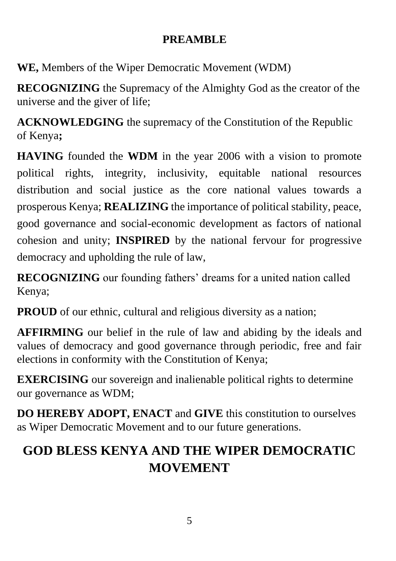#### **PREAMBLE**

**WE,** Members of the Wiper Democratic Movement (WDM)

**RECOGNIZING** the Supremacy of the Almighty God as the creator of the universe and the giver of life;

**ACKNOWLEDGING** the supremacy of the Constitution of the Republic of Kenya**;** 

**HAVING** founded the **WDM** in the year 2006 with a vision to promote political rights, integrity, inclusivity, equitable national resources distribution and social justice as the core national values towards a prosperous Kenya; **REALIZING** the importance of political stability, peace, good governance and social-economic development as factors of national cohesion and unity; **INSPIRED** by the national fervour for progressive democracy and upholding the rule of law,

**RECOGNIZING** our founding fathers' dreams for a united nation called Kenya;

**PROUD** of our ethnic, cultural and religious diversity as a nation;

**AFFIRMING** our belief in the rule of law and abiding by the ideals and values of democracy and good governance through periodic, free and fair elections in conformity with the Constitution of Kenya;

**EXERCISING** our sovereign and inalienable political rights to determine our governance as WDM;

**DO HEREBY ADOPT, ENACT** and **GIVE** this constitution to ourselves as Wiper Democratic Movement and to our future generations.

# **GOD BLESS KENYA AND THE WIPER DEMOCRATIC MOVEMENT**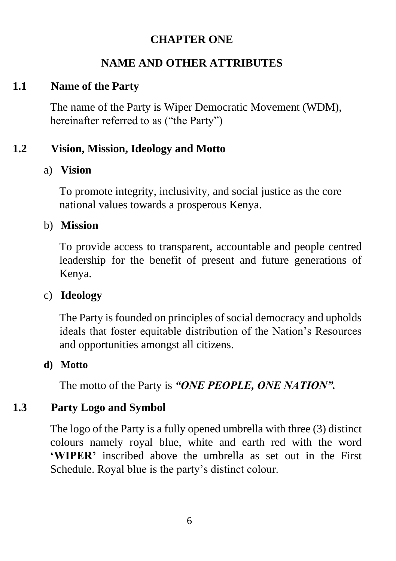#### **CHAPTER ONE**

# **NAME AND OTHER ATTRIBUTES**

#### **1.1 Name of the Party**

The name of the Party is Wiper Democratic Movement (WDM), hereinafter referred to as ("the Party")

# **1.2 Vision, Mission, Ideology and Motto**

#### a) **Vision**

To promote integrity, inclusivity, and social justice as the core national values towards a prosperous Kenya.

#### b) **Mission**

To provide access to transparent, accountable and people centred leadership for the benefit of present and future generations of Kenya.

#### c) **Ideology**

The Party is founded on principles of social democracy and upholds ideals that foster equitable distribution of the Nation's Resources and opportunities amongst all citizens.

#### **d) Motto**

The motto of the Party is *"ONE PEOPLE, ONE NATION".*

#### **1.3 Party Logo and Symbol**

The logo of the Party is a fully opened umbrella with three (3) distinct colours namely royal blue, white and earth red with the word **'WIPER'** inscribed above the umbrella as set out in the First Schedule. Royal blue is the party's distinct colour.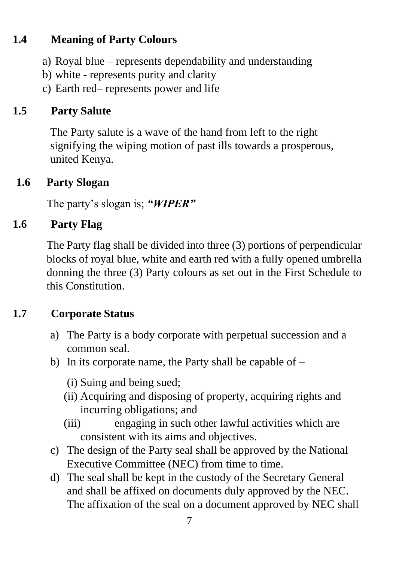## **1.4 Meaning of Party Colours**

- a) Royal blue represents dependability and understanding
- b) white represents purity and clarity
- c) Earth red– represents power and life

#### **1.5 Party Salute**

The Party salute is a wave of the hand from left to the right signifying the wiping motion of past ills towards a prosperous, united Kenya.

#### **1.6 Party Slogan**

The party's slogan is; *"WIPER"*

#### **1.6 Party Flag**

The Party flag shall be divided into three (3) portions of perpendicular blocks of royal blue, white and earth red with a fully opened umbrella donning the three (3) Party colours as set out in the First Schedule to this Constitution.

#### **1.7 Corporate Status**

- a) The Party is a body corporate with perpetual succession and a common seal.
- b) In its corporate name, the Party shall be capable of
	- (i) Suing and being sued;
	- (ii) Acquiring and disposing of property, acquiring rights and incurring obligations; and
	- (iii) engaging in such other lawful activities which are consistent with its aims and objectives.
- c) The design of the Party seal shall be approved by the National Executive Committee (NEC) from time to time.
- d) The seal shall be kept in the custody of the Secretary General and shall be affixed on documents duly approved by the NEC. The affixation of the seal on a document approved by NEC shall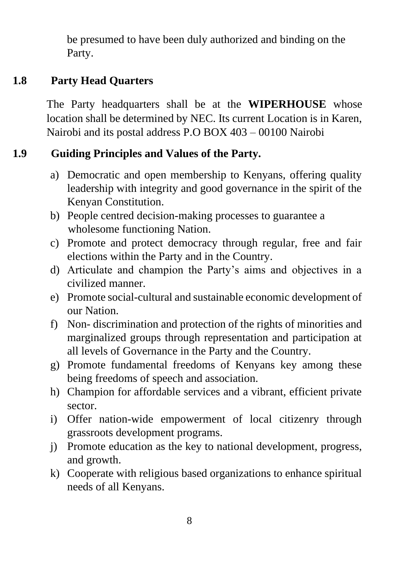be presumed to have been duly authorized and binding on the Party.

# **1.8 Party Head Quarters**

The Party headquarters shall be at the **WIPERHOUSE** whose location shall be determined by NEC. Its current Location is in Karen, Nairobi and its postal address P.O BOX 403 – 00100 Nairobi

# **1.9 Guiding Principles and Values of the Party.**

- a) Democratic and open membership to Kenyans, offering quality leadership with integrity and good governance in the spirit of the Kenyan Constitution.
- b) People centred decision-making processes to guarantee a wholesome functioning Nation.
- c) Promote and protect democracy through regular, free and fair elections within the Party and in the Country.
- d) Articulate and champion the Party's aims and objectives in a civilized manner.
- e) Promote social-cultural and sustainable economic development of our Nation.
- f) Non- discrimination and protection of the rights of minorities and marginalized groups through representation and participation at all levels of Governance in the Party and the Country.
- g) Promote fundamental freedoms of Kenyans key among these being freedoms of speech and association.
- h) Champion for affordable services and a vibrant, efficient private sector.
- i) Offer nation-wide empowerment of local citizenry through grassroots development programs.
- j) Promote education as the key to national development, progress, and growth.
- k) Cooperate with religious based organizations to enhance spiritual needs of all Kenyans.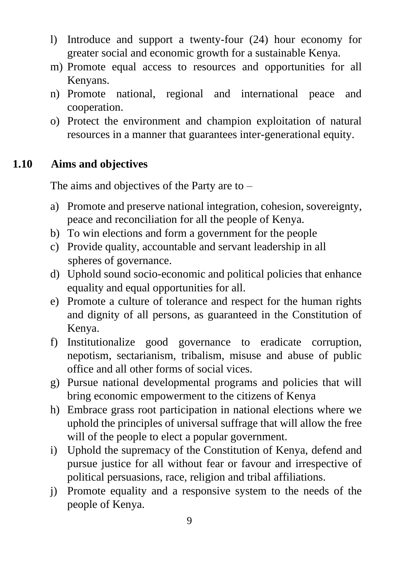- l) Introduce and support a twenty-four (24) hour economy for greater social and economic growth for a sustainable Kenya.
- m) Promote equal access to resources and opportunities for all Kenyans.
- n) Promote national, regional and international peace and cooperation.
- o) Protect the environment and champion exploitation of natural resources in a manner that guarantees inter-generational equity.

# **1.10 Aims and objectives**

The aims and objectives of the Party are to –

- a) Promote and preserve national integration, cohesion, sovereignty, peace and reconciliation for all the people of Kenya.
- b) To win elections and form a government for the people
- c) Provide quality, accountable and servant leadership in all spheres of governance.
- d) Uphold sound socio-economic and political policies that enhance equality and equal opportunities for all.
- e) Promote a culture of tolerance and respect for the human rights and dignity of all persons, as guaranteed in the Constitution of Kenya.
- f) Institutionalize good governance to eradicate corruption, nepotism, sectarianism, tribalism, misuse and abuse of public office and all other forms of social vices.
- g) Pursue national developmental programs and policies that will bring economic empowerment to the citizens of Kenya
- h) Embrace grass root participation in national elections where we uphold the principles of universal suffrage that will allow the free will of the people to elect a popular government.
- i) Uphold the supremacy of the Constitution of Kenya, defend and pursue justice for all without fear or favour and irrespective of political persuasions, race, religion and tribal affiliations.
- j) Promote equality and a responsive system to the needs of the people of Kenya.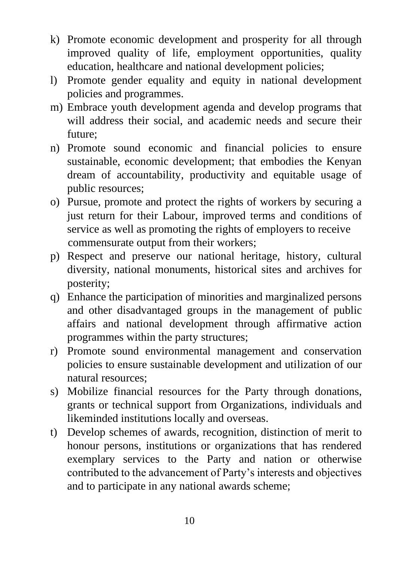- k) Promote economic development and prosperity for all through improved quality of life, employment opportunities, quality education, healthcare and national development policies;
- l) Promote gender equality and equity in national development policies and programmes.
- m) Embrace youth development agenda and develop programs that will address their social, and academic needs and secure their future;
- n) Promote sound economic and financial policies to ensure sustainable, economic development; that embodies the Kenyan dream of accountability, productivity and equitable usage of public resources;
- o) Pursue, promote and protect the rights of workers by securing a just return for their Labour, improved terms and conditions of service as well as promoting the rights of employers to receive commensurate output from their workers;
- p) Respect and preserve our national heritage, history, cultural diversity, national monuments, historical sites and archives for posterity;
- q) Enhance the participation of minorities and marginalized persons and other disadvantaged groups in the management of public affairs and national development through affirmative action programmes within the party structures;
- r) Promote sound environmental management and conservation policies to ensure sustainable development and utilization of our natural resources;
- s) Mobilize financial resources for the Party through donations, grants or technical support from Organizations, individuals and likeminded institutions locally and overseas.
- t) Develop schemes of awards, recognition, distinction of merit to honour persons, institutions or organizations that has rendered exemplary services to the Party and nation or otherwise contributed to the advancement of Party's interests and objectives and to participate in any national awards scheme;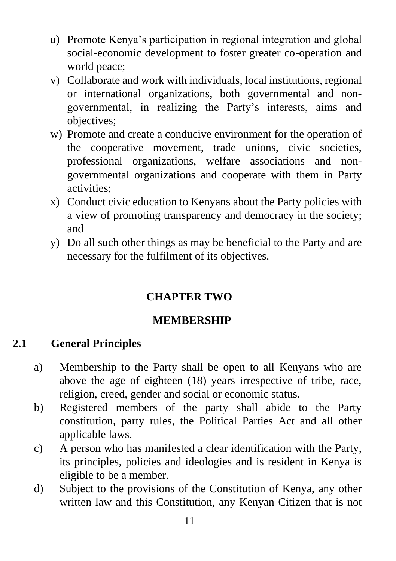- u) Promote Kenya's participation in regional integration and global social-economic development to foster greater co-operation and world peace;
- v) Collaborate and work with individuals, local institutions, regional or international organizations, both governmental and nongovernmental, in realizing the Party's interests, aims and objectives;
- w) Promote and create a conducive environment for the operation of the cooperative movement, trade unions, civic societies, professional organizations, welfare associations and nongovernmental organizations and cooperate with them in Party activities;
- x) Conduct civic education to Kenyans about the Party policies with a view of promoting transparency and democracy in the society; and
- y) Do all such other things as may be beneficial to the Party and are necessary for the fulfilment of its objectives.

# **CHAPTER TWO**

#### **MEMBERSHIP**

#### **2.1 General Principles**

- a) Membership to the Party shall be open to all Kenyans who are above the age of eighteen (18) years irrespective of tribe, race, religion, creed, gender and social or economic status.
- b) Registered members of the party shall abide to the Party constitution, party rules, the Political Parties Act and all other applicable laws.
- c) A person who has manifested a clear identification with the Party, its principles, policies and ideologies and is resident in Kenya is eligible to be a member.
- d) Subject to the provisions of the Constitution of Kenya, any other written law and this Constitution, any Kenyan Citizen that is not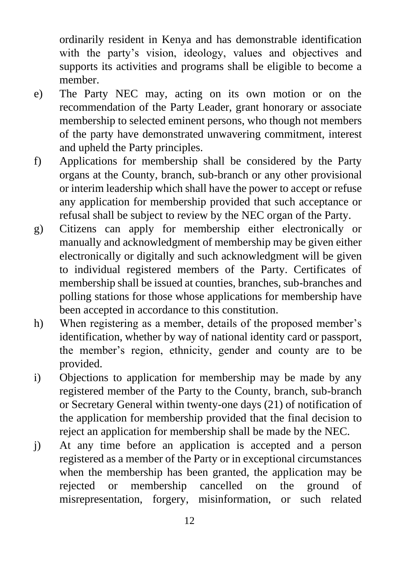ordinarily resident in Kenya and has demonstrable identification with the party's vision, ideology, values and objectives and supports its activities and programs shall be eligible to become a member.

- e) The Party NEC may, acting on its own motion or on the recommendation of the Party Leader, grant honorary or associate membership to selected eminent persons, who though not members of the party have demonstrated unwavering commitment, interest and upheld the Party principles.
- f) Applications for membership shall be considered by the Party organs at the County, branch, sub-branch or any other provisional or interim leadership which shall have the power to accept or refuse any application for membership provided that such acceptance or refusal shall be subject to review by the NEC organ of the Party.
- g) Citizens can apply for membership either electronically or manually and acknowledgment of membership may be given either electronically or digitally and such acknowledgment will be given to individual registered members of the Party. Certificates of membership shall be issued at counties, branches, sub-branches and polling stations for those whose applications for membership have been accepted in accordance to this constitution.
- h) When registering as a member, details of the proposed member's identification, whether by way of national identity card or passport, the member's region, ethnicity, gender and county are to be provided.
- i) Objections to application for membership may be made by any registered member of the Party to the County, branch, sub-branch or Secretary General within twenty-one days (21) of notification of the application for membership provided that the final decision to reject an application for membership shall be made by the NEC.
- j) At any time before an application is accepted and a person registered as a member of the Party or in exceptional circumstances when the membership has been granted, the application may be rejected or membership cancelled on the ground of misrepresentation, forgery, misinformation, or such related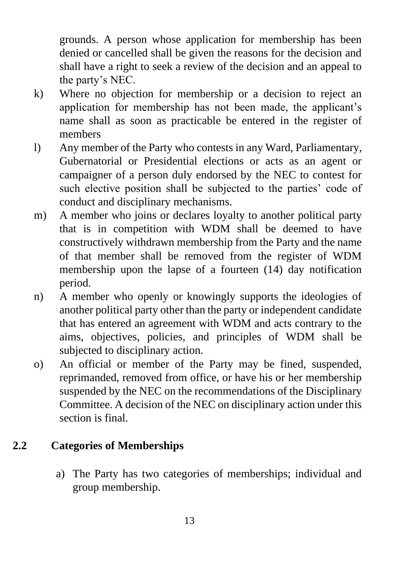grounds. A person whose application for membership has been denied or cancelled shall be given the reasons for the decision and shall have a right to seek a review of the decision and an appeal to the party's NEC.

- k) Where no objection for membership or a decision to reject an application for membership has not been made, the applicant's name shall as soon as practicable be entered in the register of members
- l) Any member of the Party who contests in any Ward, Parliamentary, Gubernatorial or Presidential elections or acts as an agent or campaigner of a person duly endorsed by the NEC to contest for such elective position shall be subjected to the parties' code of conduct and disciplinary mechanisms.
- m) A member who joins or declares loyalty to another political party that is in competition with WDM shall be deemed to have constructively withdrawn membership from the Party and the name of that member shall be removed from the register of WDM membership upon the lapse of a fourteen (14) day notification period.
- n) A member who openly or knowingly supports the ideologies of another political party other than the party or independent candidate that has entered an agreement with WDM and acts contrary to the aims, objectives, policies, and principles of WDM shall be subjected to disciplinary action.
- o) An official or member of the Party may be fined, suspended, reprimanded, removed from office, or have his or her membership suspended by the NEC on the recommendations of the Disciplinary Committee. A decision of the NEC on disciplinary action under this section is final.

#### **2.2 Categories of Memberships**

a) The Party has two categories of memberships; individual and group membership.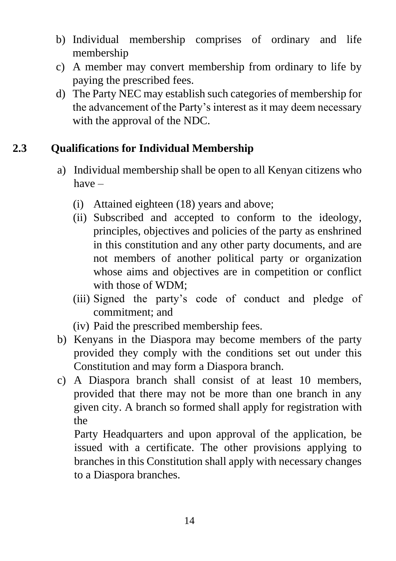- b) Individual membership comprises of ordinary and life membership
- c) A member may convert membership from ordinary to life by paying the prescribed fees.
- d) The Party NEC may establish such categories of membership for the advancement of the Party's interest as it may deem necessary with the approval of the NDC.

## **2.3 Qualifications for Individual Membership**

- a) Individual membership shall be open to all Kenyan citizens who have –
	- (i) Attained eighteen (18) years and above;
	- (ii) Subscribed and accepted to conform to the ideology, principles, objectives and policies of the party as enshrined in this constitution and any other party documents, and are not members of another political party or organization whose aims and objectives are in competition or conflict with those of WDM;
	- (iii) Signed the party's code of conduct and pledge of commitment; and
	- (iv) Paid the prescribed membership fees.
- b) Kenyans in the Diaspora may become members of the party provided they comply with the conditions set out under this Constitution and may form a Diaspora branch.
- c) A Diaspora branch shall consist of at least 10 members, provided that there may not be more than one branch in any given city. A branch so formed shall apply for registration with the

Party Headquarters and upon approval of the application, be issued with a certificate. The other provisions applying to branches in this Constitution shall apply with necessary changes to a Diaspora branches.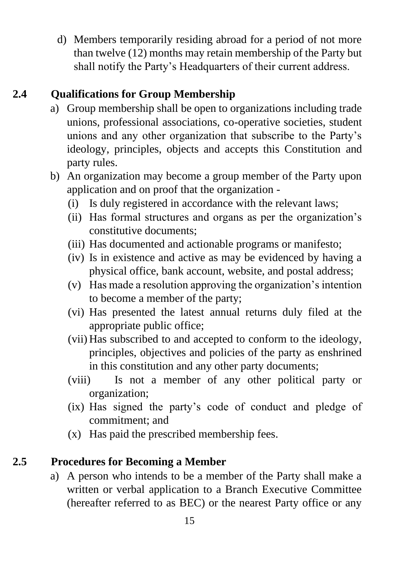d) Members temporarily residing abroad for a period of not more than twelve (12) months may retain membership of the Party but shall notify the Party's Headquarters of their current address.

# **2.4 Qualifications for Group Membership**

- a) Group membership shall be open to organizations including trade unions, professional associations, co-operative societies, student unions and any other organization that subscribe to the Party's ideology, principles, objects and accepts this Constitution and party rules.
- b) An organization may become a group member of the Party upon application and on proof that the organization -
	- (i) Is duly registered in accordance with the relevant laws;
	- (ii) Has formal structures and organs as per the organization's constitutive documents;
	- (iii) Has documented and actionable programs or manifesto;
	- (iv) Is in existence and active as may be evidenced by having a physical office, bank account, website, and postal address;
	- (v) Has made a resolution approving the organization's intention to become a member of the party;
	- (vi) Has presented the latest annual returns duly filed at the appropriate public office;
	- (vii) Has subscribed to and accepted to conform to the ideology, principles, objectives and policies of the party as enshrined in this constitution and any other party documents;
	- (viii) Is not a member of any other political party or organization;
	- (ix) Has signed the party's code of conduct and pledge of commitment; and
	- (x) Has paid the prescribed membership fees.

#### **2.5 Procedures for Becoming a Member**

a) A person who intends to be a member of the Party shall make a written or verbal application to a Branch Executive Committee (hereafter referred to as BEC) or the nearest Party office or any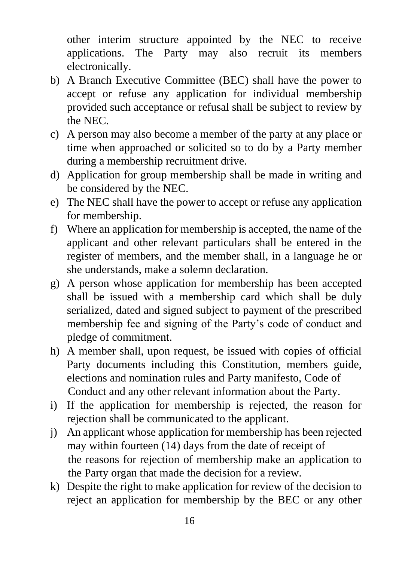other interim structure appointed by the NEC to receive applications. The Party may also recruit its members electronically.

- b) A Branch Executive Committee (BEC) shall have the power to accept or refuse any application for individual membership provided such acceptance or refusal shall be subject to review by the NEC.
- c) A person may also become a member of the party at any place or time when approached or solicited so to do by a Party member during a membership recruitment drive.
- d) Application for group membership shall be made in writing and be considered by the NEC.
- e) The NEC shall have the power to accept or refuse any application for membership.
- f) Where an application for membership is accepted, the name of the applicant and other relevant particulars shall be entered in the register of members, and the member shall, in a language he or she understands, make a solemn declaration.
- g) A person whose application for membership has been accepted shall be issued with a membership card which shall be duly serialized, dated and signed subject to payment of the prescribed membership fee and signing of the Party's code of conduct and pledge of commitment.
- h) A member shall, upon request, be issued with copies of official Party documents including this Constitution, members guide, elections and nomination rules and Party manifesto, Code of Conduct and any other relevant information about the Party.
- i) If the application for membership is rejected, the reason for rejection shall be communicated to the applicant.
- j) An applicant whose application for membership has been rejected may within fourteen (14) days from the date of receipt of the reasons for rejection of membership make an application to the Party organ that made the decision for a review.
- k) Despite the right to make application for review of the decision to reject an application for membership by the BEC or any other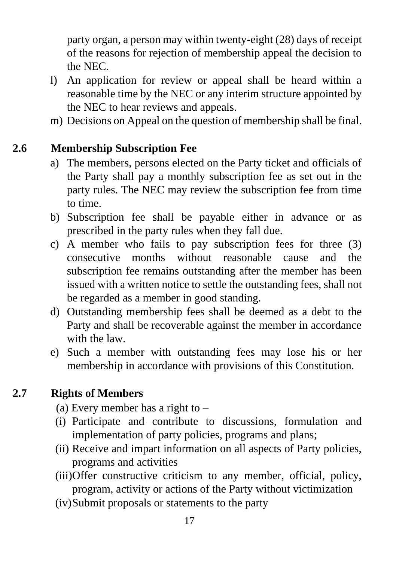party organ, a person may within twenty-eight (28) days of receipt of the reasons for rejection of membership appeal the decision to the NEC.

- l) An application for review or appeal shall be heard within a reasonable time by the NEC or any interim structure appointed by the NEC to hear reviews and appeals.
- m) Decisions on Appeal on the question of membership shall be final.

## **2.6 Membership Subscription Fee**

- a) The members, persons elected on the Party ticket and officials of the Party shall pay a monthly subscription fee as set out in the party rules. The NEC may review the subscription fee from time to time.
- b) Subscription fee shall be payable either in advance or as prescribed in the party rules when they fall due.
- c) A member who fails to pay subscription fees for three (3) consecutive months without reasonable cause and the subscription fee remains outstanding after the member has been issued with a written notice to settle the outstanding fees, shall not be regarded as a member in good standing.
- d) Outstanding membership fees shall be deemed as a debt to the Party and shall be recoverable against the member in accordance with the law.
- e) Such a member with outstanding fees may lose his or her membership in accordance with provisions of this Constitution.

#### **2.7 Rights of Members**

- (a) Every member has a right to –
- (i) Participate and contribute to discussions, formulation and implementation of party policies, programs and plans;
- (ii) Receive and impart information on all aspects of Party policies, programs and activities
- (iii)Offer constructive criticism to any member, official, policy, program, activity or actions of the Party without victimization
- (iv)Submit proposals or statements to the party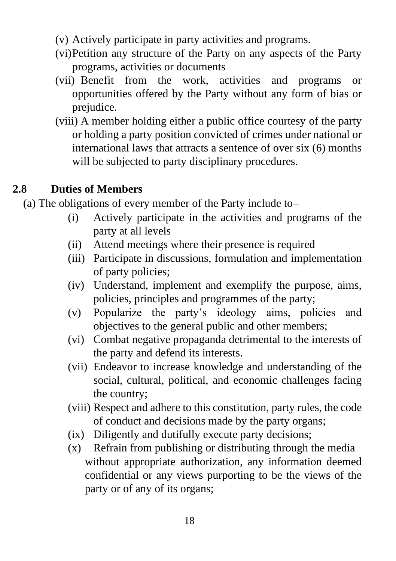- (v) Actively participate in party activities and programs.
- (vi)Petition any structure of the Party on any aspects of the Party programs, activities or documents
- (vii) Benefit from the work, activities and programs or opportunities offered by the Party without any form of bias or prejudice.
- (viii) A member holding either a public office courtesy of the party or holding a party position convicted of crimes under national or international laws that attracts a sentence of over six (6) months will be subjected to party disciplinary procedures.

## **2.8 Duties of Members**

(a) The obligations of every member of the Party include to–

- (i) Actively participate in the activities and programs of the party at all levels
- (ii) Attend meetings where their presence is required
- (iii) Participate in discussions, formulation and implementation of party policies;
- (iv) Understand, implement and exemplify the purpose, aims, policies, principles and programmes of the party;
- (v) Popularize the party's ideology aims, policies and objectives to the general public and other members;
- (vi) Combat negative propaganda detrimental to the interests of the party and defend its interests.
- (vii) Endeavor to increase knowledge and understanding of the social, cultural, political, and economic challenges facing the country;
- (viii) Respect and adhere to this constitution, party rules, the code of conduct and decisions made by the party organs;
- (ix) Diligently and dutifully execute party decisions;
- (x) Refrain from publishing or distributing through the media without appropriate authorization, any information deemed confidential or any views purporting to be the views of the party or of any of its organs;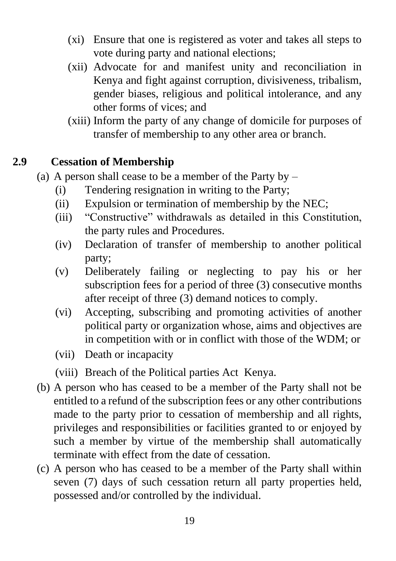- (xi) Ensure that one is registered as voter and takes all steps to vote during party and national elections;
- (xii) Advocate for and manifest unity and reconciliation in Kenya and fight against corruption, divisiveness, tribalism, gender biases, religious and political intolerance, and any other forms of vices; and
- (xiii) Inform the party of any change of domicile for purposes of transfer of membership to any other area or branch.

## **2.9 Cessation of Membership**

- (a) A person shall cease to be a member of the Party by  $-$ 
	- (i) Tendering resignation in writing to the Party;
	- (ii) Expulsion or termination of membership by the NEC;
	- (iii) "Constructive" withdrawals as detailed in this Constitution, the party rules and Procedures.
	- (iv) Declaration of transfer of membership to another political party;
	- (v) Deliberately failing or neglecting to pay his or her subscription fees for a period of three (3) consecutive months after receipt of three (3) demand notices to comply.
	- (vi) Accepting, subscribing and promoting activities of another political party or organization whose, aims and objectives are in competition with or in conflict with those of the WDM; or
	- (vii) Death or incapacity
	- (viii) Breach of the Political parties Act Kenya.
- (b) A person who has ceased to be a member of the Party shall not be entitled to a refund of the subscription fees or any other contributions made to the party prior to cessation of membership and all rights, privileges and responsibilities or facilities granted to or enjoyed by such a member by virtue of the membership shall automatically terminate with effect from the date of cessation.
- (c) A person who has ceased to be a member of the Party shall within seven (7) days of such cessation return all party properties held, possessed and/or controlled by the individual.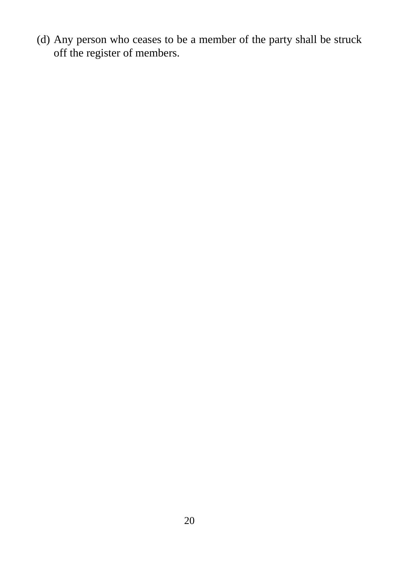(d) Any person who ceases to be a member of the party shall be struck off the register of members.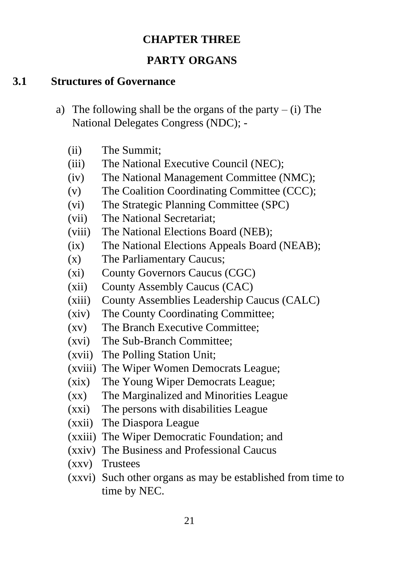#### **CHAPTER THREE**

## **PARTY ORGANS**

#### **3.1 Structures of Governance**

- a) The following shall be the organs of the party (i) The National Delegates Congress (NDC); -
	- (ii) The Summit;
	- (iii) The National Executive Council (NEC);
	- (iv) The National Management Committee (NMC);
	- (v) The Coalition Coordinating Committee (CCC);
	- (vi) The Strategic Planning Committee (SPC)
	- (vii) The National Secretariat;
	- (viii) The National Elections Board (NEB);
	- (ix) The National Elections Appeals Board (NEAB);
	- (x) The Parliamentary Caucus;
	- (xi) County Governors Caucus (CGC)
	- (xii) County Assembly Caucus (CAC)
	- (xiii) County Assemblies Leadership Caucus (CALC)
	- (xiv) The County Coordinating Committee;
	- (xv) The Branch Executive Committee;
	- (xvi) The Sub-Branch Committee;
	- (xvii) The Polling Station Unit;
	- (xviii) The Wiper Women Democrats League;
	- (xix) The Young Wiper Democrats League;
	- (xx) The Marginalized and Minorities League
	- (xxi) The persons with disabilities League
	- (xxii) The Diaspora League
	- (xxiii) The Wiper Democratic Foundation; and
	- (xxiv) The Business and Professional Caucus
	- (xxv) Trustees
	- (xxvi) Such other organs as may be established from time to time by NEC.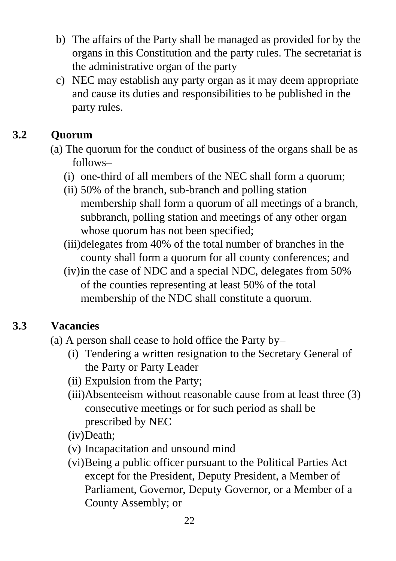- b) The affairs of the Party shall be managed as provided for by the organs in this Constitution and the party rules. The secretariat is the administrative organ of the party
- c) NEC may establish any party organ as it may deem appropriate and cause its duties and responsibilities to be published in the party rules.

# **3.2 Quorum**

- (a) The quorum for the conduct of business of the organs shall be as follows–
	- (i) one-third of all members of the NEC shall form a quorum;
	- (ii) 50% of the branch, sub-branch and polling station membership shall form a quorum of all meetings of a branch, subbranch, polling station and meetings of any other organ whose quorum has not been specified:
	- (iii)delegates from 40% of the total number of branches in the county shall form a quorum for all county conferences; and
	- (iv)in the case of NDC and a special NDC, delegates from 50% of the counties representing at least 50% of the total membership of the NDC shall constitute a quorum.

# **3.3 Vacancies**

- (a) A person shall cease to hold office the Party by–
	- (i) Tendering a written resignation to the Secretary General of the Party or Party Leader
	- (ii) Expulsion from the Party;
	- (iii)Absenteeism without reasonable cause from at least three (3) consecutive meetings or for such period as shall be prescribed by NEC
	- (iv)Death;
	- (v) Incapacitation and unsound mind
	- (vi)Being a public officer pursuant to the Political Parties Act except for the President, Deputy President, a Member of Parliament, Governor, Deputy Governor, or a Member of a County Assembly; or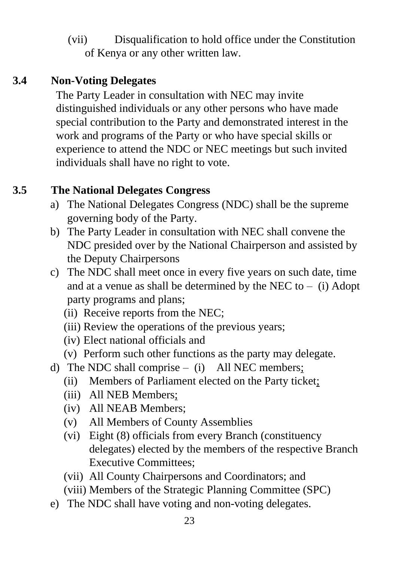(vii) Disqualification to hold office under the Constitution of Kenya or any other written law.

# **3.4 Non-Voting Delegates**

The Party Leader in consultation with NEC may invite distinguished individuals or any other persons who have made special contribution to the Party and demonstrated interest in the work and programs of the Party or who have special skills or experience to attend the NDC or NEC meetings but such invited individuals shall have no right to vote.

# **3.5 The National Delegates Congress**

- a) The National Delegates Congress (NDC) shall be the supreme governing body of the Party.
- b) The Party Leader in consultation with NEC shall convene the NDC presided over by the National Chairperson and assisted by the Deputy Chairpersons
- c) The NDC shall meet once in every five years on such date, time and at a venue as shall be determined by the NEC to  $-$  (i) Adopt party programs and plans;
	- (ii) Receive reports from the NEC;
	- (iii) Review the operations of the previous years;
	- (iv) Elect national officials and
	- (v) Perform such other functions as the party may delegate.
- d) The NDC shall comprise (i) All NEC members;
	- (ii) Members of Parliament elected on the Party ticket;
	- (iii) All NEB Members;
	- (iv) All NEAB Members;
	- (v) All Members of County Assemblies
	- (vi) Eight (8) officials from every Branch (constituency delegates) elected by the members of the respective Branch Executive Committees;
	- (vii) All County Chairpersons and Coordinators; and
	- (viii) Members of the Strategic Planning Committee (SPC)
- e) The NDC shall have voting and non-voting delegates.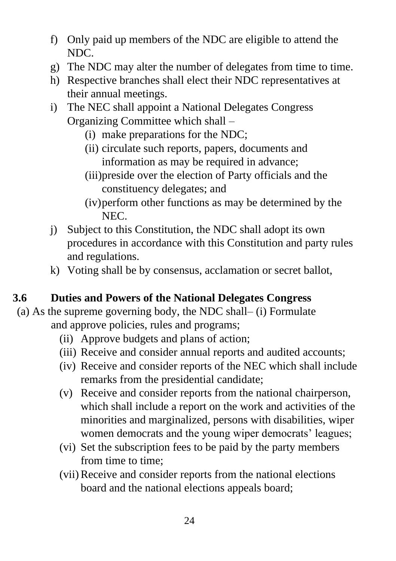- f) Only paid up members of the NDC are eligible to attend the NDC.
- g) The NDC may alter the number of delegates from time to time.
- h) Respective branches shall elect their NDC representatives at their annual meetings.
- i) The NEC shall appoint a National Delegates Congress Organizing Committee which shall –
	- (i) make preparations for the NDC;
	- (ii) circulate such reports, papers, documents and information as may be required in advance;
	- (iii)preside over the election of Party officials and the constituency delegates; and
	- (iv)perform other functions as may be determined by the NEC.
- j) Subject to this Constitution, the NDC shall adopt its own procedures in accordance with this Constitution and party rules and regulations.
- k) Voting shall be by consensus, acclamation or secret ballot,

# **3.6 Duties and Powers of the National Delegates Congress**

- (a) As the supreme governing body, the NDC shall– (i) Formulate and approve policies, rules and programs;
	- (ii) Approve budgets and plans of action;
	- (iii) Receive and consider annual reports and audited accounts;
	- (iv) Receive and consider reports of the NEC which shall include remarks from the presidential candidate;
	- (v) Receive and consider reports from the national chairperson, which shall include a report on the work and activities of the minorities and marginalized, persons with disabilities, wiper women democrats and the young wiper democrats' leagues;
	- (vi) Set the subscription fees to be paid by the party members from time to time;
	- (vii)Receive and consider reports from the national elections board and the national elections appeals board;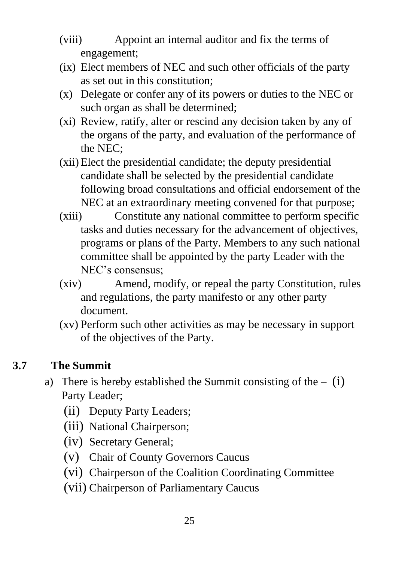- (viii) Appoint an internal auditor and fix the terms of engagement;
- (ix) Elect members of NEC and such other officials of the party as set out in this constitution;
- (x) Delegate or confer any of its powers or duties to the NEC or such organ as shall be determined;
- (xi) Review, ratify, alter or rescind any decision taken by any of the organs of the party, and evaluation of the performance of the NEC;
- (xii) Elect the presidential candidate; the deputy presidential candidate shall be selected by the presidential candidate following broad consultations and official endorsement of the NEC at an extraordinary meeting convened for that purpose;
- (xiii) Constitute any national committee to perform specific tasks and duties necessary for the advancement of objectives, programs or plans of the Party. Members to any such national committee shall be appointed by the party Leader with the NEC's consensus;
- (xiv) Amend, modify, or repeal the party Constitution, rules and regulations, the party manifesto or any other party document.
- (xv) Perform such other activities as may be necessary in support of the objectives of the Party.

# **3.7 The Summit**

- a) There is hereby established the Summit consisting of the  $-$  (i) Party Leader;
	- (ii) Deputy Party Leaders;
	- (iii) National Chairperson;
	- (iv) Secretary General;
	- (v) Chair of County Governors Caucus
	- (vi) Chairperson of the Coalition Coordinating Committee
	- (vii) Chairperson of Parliamentary Caucus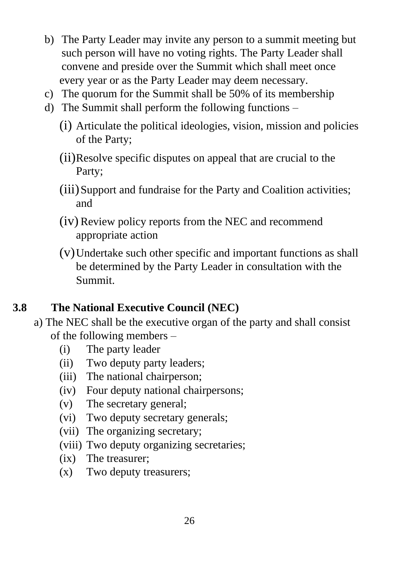- b) The Party Leader may invite any person to a summit meeting but such person will have no voting rights. The Party Leader shall convene and preside over the Summit which shall meet once every year or as the Party Leader may deem necessary.
- c) The quorum for the Summit shall be 50% of its membership
- d) The Summit shall perform the following functions
	- (i) Articulate the political ideologies, vision, mission and policies of the Party;
	- (ii)Resolve specific disputes on appeal that are crucial to the Party;
	- (iii)Support and fundraise for the Party and Coalition activities; and
	- (iv) Review policy reports from the NEC and recommend appropriate action
	- (v)Undertake such other specific and important functions as shall be determined by the Party Leader in consultation with the Summit.

# **3.8 The National Executive Council (NEC)**

- a) The NEC shall be the executive organ of the party and shall consist of the following members –
	- (i) The party leader
	- (ii) Two deputy party leaders;
	- (iii) The national chairperson;
	- (iv) Four deputy national chairpersons;
	- (v) The secretary general;
	- (vi) Two deputy secretary generals;
	- (vii) The organizing secretary;
	- (viii) Two deputy organizing secretaries;
	- (ix) The treasurer;
	- (x) Two deputy treasurers;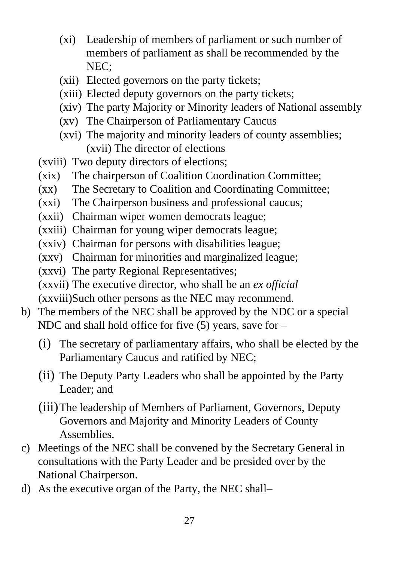- (xi) Leadership of members of parliament or such number of members of parliament as shall be recommended by the NEC;
- (xii) Elected governors on the party tickets;
- (xiii) Elected deputy governors on the party tickets;
- (xiv) The party Majority or Minority leaders of National assembly
- (xv) The Chairperson of Parliamentary Caucus
- (xvi) The majority and minority leaders of county assemblies; (xvii) The director of elections
- (xviii) Two deputy directors of elections;
- (xix) The chairperson of Coalition Coordination Committee;
- (xx) The Secretary to Coalition and Coordinating Committee;
- (xxi) The Chairperson business and professional caucus;
- (xxii) Chairman wiper women democrats league;
- (xxiii) Chairman for young wiper democrats league;
- (xxiv) Chairman for persons with disabilities league;
- (xxv) Chairman for minorities and marginalized league;
- (xxvi) The party Regional Representatives;
- (xxvii) The executive director, who shall be an *ex official*
- (xxviii)Such other persons as the NEC may recommend.
- b) The members of the NEC shall be approved by the NDC or a special NDC and shall hold office for five  $(5)$  years, save for –
	- (i) The secretary of parliamentary affairs, who shall be elected by the Parliamentary Caucus and ratified by NEC;
	- (ii) The Deputy Party Leaders who shall be appointed by the Party Leader; and
	- (iii)The leadership of Members of Parliament, Governors, Deputy Governors and Majority and Minority Leaders of County Assemblies.
- c) Meetings of the NEC shall be convened by the Secretary General in consultations with the Party Leader and be presided over by the National Chairperson.
- d) As the executive organ of the Party, the NEC shall–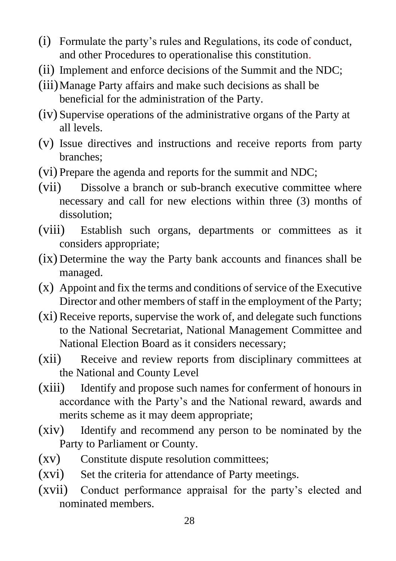- (i) Formulate the party's rules and Regulations, its code of conduct, and other Procedures to operationalise this constitution.
- (ii) Implement and enforce decisions of the Summit and the NDC;
- (iii)Manage Party affairs and make such decisions as shall be beneficial for the administration of the Party.
- (iv) Supervise operations of the administrative organs of the Party at all levels.
- (v) Issue directives and instructions and receive reports from party branches;
- (vi) Prepare the agenda and reports for the summit and NDC;
- (vii) Dissolve a branch or sub-branch executive committee where necessary and call for new elections within three (3) months of dissolution;
- (viii) Establish such organs, departments or committees as it considers appropriate;
- (ix) Determine the way the Party bank accounts and finances shall be managed.
- (x) Appoint and fix the terms and conditions of service of the Executive Director and other members of staff in the employment of the Party;
- (xi) Receive reports, supervise the work of, and delegate such functions to the National Secretariat, National Management Committee and National Election Board as it considers necessary;
- (xii) Receive and review reports from disciplinary committees at the National and County Level
- (xiii) Identify and propose such names for conferment of honours in accordance with the Party's and the National reward, awards and merits scheme as it may deem appropriate;
- (xiv) Identify and recommend any person to be nominated by the Party to Parliament or County.
- (xv) Constitute dispute resolution committees;
- (xvi) Set the criteria for attendance of Party meetings.
- (xvii) Conduct performance appraisal for the party's elected and nominated members.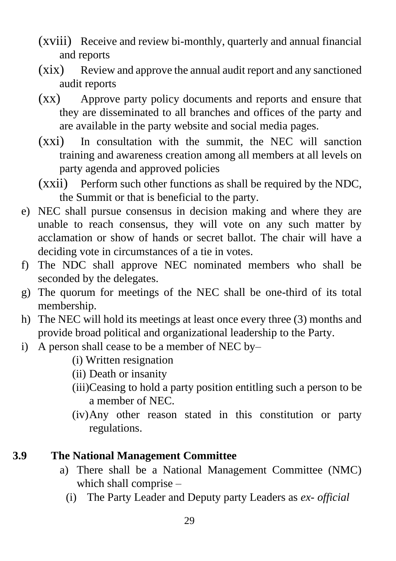- (xviii) Receive and review bi-monthly, quarterly and annual financial and reports
- (xix) Review and approve the annual audit report and any sanctioned audit reports
- (xx) Approve party policy documents and reports and ensure that they are disseminated to all branches and offices of the party and are available in the party website and social media pages.
- (xxi) In consultation with the summit, the NEC will sanction training and awareness creation among all members at all levels on party agenda and approved policies
- (xxii) Perform such other functions as shall be required by the NDC, the Summit or that is beneficial to the party.
- e) NEC shall pursue consensus in decision making and where they are unable to reach consensus, they will vote on any such matter by acclamation or show of hands or secret ballot. The chair will have a deciding vote in circumstances of a tie in votes.
- f) The NDC shall approve NEC nominated members who shall be seconded by the delegates.
- g) The quorum for meetings of the NEC shall be one-third of its total membership.
- h) The NEC will hold its meetings at least once every three (3) months and provide broad political and organizational leadership to the Party.
- i) A person shall cease to be a member of NEC by–
	- (i) Written resignation
	- (ii) Death or insanity
	- (iii)Ceasing to hold a party position entitling such a person to be a member of NEC.
	- (iv)Any other reason stated in this constitution or party regulations.

# **3.9 The National Management Committee**

- a) There shall be a National Management Committee (NMC) which shall comprise –
	- (i) The Party Leader and Deputy party Leaders as *ex- official*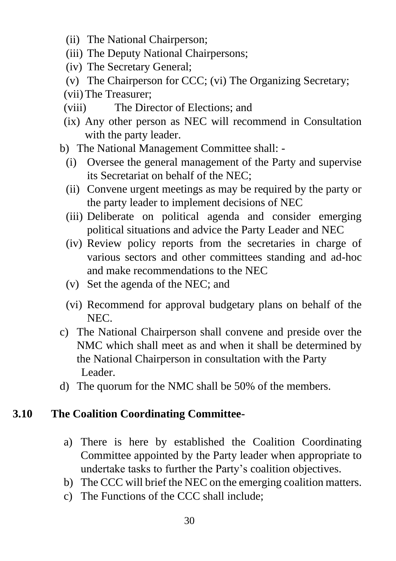- (ii) The National Chairperson;
- (iii) The Deputy National Chairpersons;
- (iv) The Secretary General;
- (v) The Chairperson for CCC; (vi) The Organizing Secretary;
- (vii)The Treasurer;
- (viii) The Director of Elections; and
- (ix) Any other person as NEC will recommend in Consultation with the party leader.
- b) The National Management Committee shall:
	- (i) Oversee the general management of the Party and supervise its Secretariat on behalf of the NEC;
	- (ii) Convene urgent meetings as may be required by the party or the party leader to implement decisions of NEC
	- (iii) Deliberate on political agenda and consider emerging political situations and advice the Party Leader and NEC
	- (iv) Review policy reports from the secretaries in charge of various sectors and other committees standing and ad-hoc and make recommendations to the NEC
	- (v) Set the agenda of the NEC; and
	- (vi) Recommend for approval budgetary plans on behalf of the NEC.
- c) The National Chairperson shall convene and preside over the NMC which shall meet as and when it shall be determined by the National Chairperson in consultation with the Party Leader.
- d) The quorum for the NMC shall be 50% of the members.

#### **3.10 The Coalition Coordinating Committee-**

- a) There is here by established the Coalition Coordinating Committee appointed by the Party leader when appropriate to undertake tasks to further the Party's coalition objectives.
- b) The CCC will brief the NEC on the emerging coalition matters.
- c) The Functions of the CCC shall include;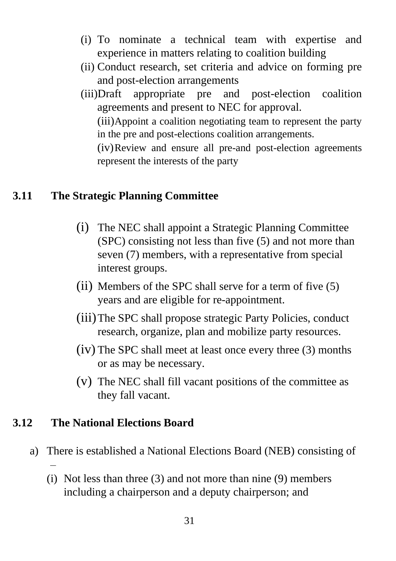- (i) To nominate a technical team with expertise and experience in matters relating to coalition building
- (ii) Conduct research, set criteria and advice on forming pre and post-election arrangements
- (iii)Draft appropriate pre and post-election coalition agreements and present to NEC for approval. (iii)Appoint a coalition negotiating team to represent the party in the pre and post-elections coalition arrangements. (iv)Review and ensure all pre-and post-election agreements

represent the interests of the party

#### **3.11 The Strategic Planning Committee**

- (i) The NEC shall appoint a Strategic Planning Committee (SPC) consisting not less than five (5) and not more than seven (7) members, with a representative from special interest groups.
- (ii) Members of the SPC shall serve for a term of five (5) years and are eligible for re-appointment.
- (iii)The SPC shall propose strategic Party Policies, conduct research, organize, plan and mobilize party resources.
- (iv) The SPC shall meet at least once every three (3) months or as may be necessary.
- (v) The NEC shall fill vacant positions of the committee as they fall vacant.

#### **3.12 The National Elections Board**

–

- a) There is established a National Elections Board (NEB) consisting of
	- (i) Not less than three (3) and not more than nine (9) members including a chairperson and a deputy chairperson; and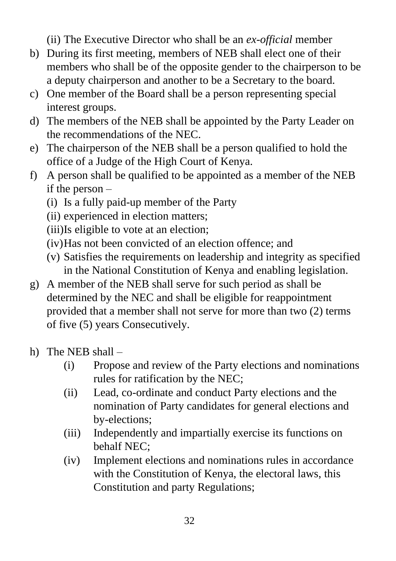(ii) The Executive Director who shall be an *ex-official* member

- b) During its first meeting, members of NEB shall elect one of their members who shall be of the opposite gender to the chairperson to be a deputy chairperson and another to be a Secretary to the board.
- c) One member of the Board shall be a person representing special interest groups.
- d) The members of the NEB shall be appointed by the Party Leader on the recommendations of the NEC.
- e) The chairperson of the NEB shall be a person qualified to hold the office of a Judge of the High Court of Kenya.
- f) A person shall be qualified to be appointed as a member of the NEB if the person –
	- (i) Is a fully paid-up member of the Party
	- (ii) experienced in election matters;
	- (iii)Is eligible to vote at an election;
	- (iv)Has not been convicted of an election offence; and
	- (v) Satisfies the requirements on leadership and integrity as specified in the National Constitution of Kenya and enabling legislation.
- g) A member of the NEB shall serve for such period as shall be determined by the NEC and shall be eligible for reappointment provided that a member shall not serve for more than two (2) terms of five (5) years Consecutively.
- h) The NEB shall
	- (i) Propose and review of the Party elections and nominations rules for ratification by the NEC;
	- (ii) Lead, co-ordinate and conduct Party elections and the nomination of Party candidates for general elections and by-elections;
	- (iii) Independently and impartially exercise its functions on behalf NEC;
	- (iv) Implement elections and nominations rules in accordance with the Constitution of Kenya, the electoral laws, this Constitution and party Regulations;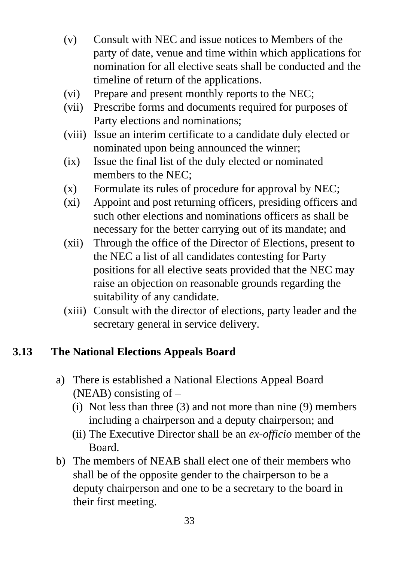- (v) Consult with NEC and issue notices to Members of the party of date, venue and time within which applications for nomination for all elective seats shall be conducted and the timeline of return of the applications.
- (vi) Prepare and present monthly reports to the NEC;
- (vii) Prescribe forms and documents required for purposes of Party elections and nominations;
- (viii) Issue an interim certificate to a candidate duly elected or nominated upon being announced the winner;
- (ix) Issue the final list of the duly elected or nominated members to the NEC;
- (x) Formulate its rules of procedure for approval by NEC;
- (xi) Appoint and post returning officers, presiding officers and such other elections and nominations officers as shall be necessary for the better carrying out of its mandate; and
- (xii) Through the office of the Director of Elections, present to the NEC a list of all candidates contesting for Party positions for all elective seats provided that the NEC may raise an objection on reasonable grounds regarding the suitability of any candidate.
- (xiii) Consult with the director of elections, party leader and the secretary general in service delivery.

#### **3.13 The National Elections Appeals Board**

- a) There is established a National Elections Appeal Board (NEAB) consisting of –
	- (i) Not less than three (3) and not more than nine (9) members including a chairperson and a deputy chairperson; and
	- (ii) The Executive Director shall be an *ex-officio* member of the Board.
- b) The members of NEAB shall elect one of their members who shall be of the opposite gender to the chairperson to be a deputy chairperson and one to be a secretary to the board in their first meeting.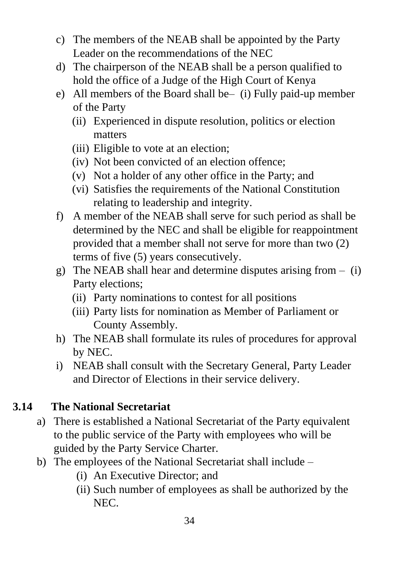- c) The members of the NEAB shall be appointed by the Party Leader on the recommendations of the NEC
- d) The chairperson of the NEAB shall be a person qualified to hold the office of a Judge of the High Court of Kenya
- e) All members of the Board shall be– (i) Fully paid-up member of the Party
	- (ii) Experienced in dispute resolution, politics or election matters
	- (iii) Eligible to vote at an election;
	- (iv) Not been convicted of an election offence;
	- (v) Not a holder of any other office in the Party; and
	- (vi) Satisfies the requirements of the National Constitution relating to leadership and integrity.
- f) A member of the NEAB shall serve for such period as shall be determined by the NEC and shall be eligible for reappointment provided that a member shall not serve for more than two (2) terms of five (5) years consecutively.
- g) The NEAB shall hear and determine disputes arising from  $-$  (i) Party elections;
	- (ii) Party nominations to contest for all positions
	- (iii) Party lists for nomination as Member of Parliament or County Assembly.
- h) The NEAB shall formulate its rules of procedures for approval by NEC.
- i) NEAB shall consult with the Secretary General, Party Leader and Director of Elections in their service delivery.

# **3.14 The National Secretariat**

- a) There is established a National Secretariat of the Party equivalent to the public service of the Party with employees who will be guided by the Party Service Charter.
- b) The employees of the National Secretariat shall include
	- (i) An Executive Director; and
	- (ii) Such number of employees as shall be authorized by the NEC.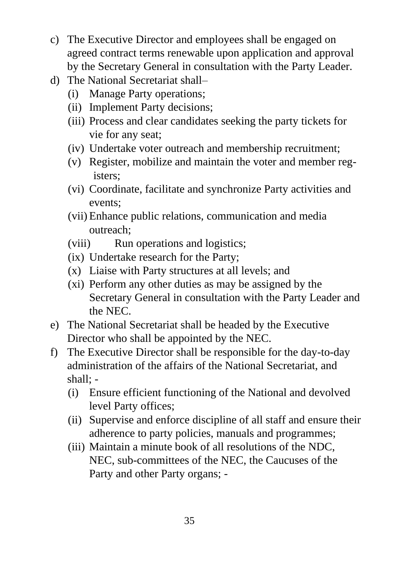- c) The Executive Director and employees shall be engaged on agreed contract terms renewable upon application and approval by the Secretary General in consultation with the Party Leader.
- d) The National Secretariat shall–
	- (i) Manage Party operations;
	- (ii) Implement Party decisions;
	- (iii) Process and clear candidates seeking the party tickets for vie for any seat;
	- (iv) Undertake voter outreach and membership recruitment;
	- (v) Register, mobilize and maintain the voter and member registers;
	- (vi) Coordinate, facilitate and synchronize Party activities and events;
	- (vii) Enhance public relations, communication and media outreach;
	- (viii) Run operations and logistics;
	- (ix) Undertake research for the Party;
	- (x) Liaise with Party structures at all levels; and
	- (xi) Perform any other duties as may be assigned by the Secretary General in consultation with the Party Leader and the NEC.
- e) The National Secretariat shall be headed by the Executive Director who shall be appointed by the NEC.
- f) The Executive Director shall be responsible for the day-to-day administration of the affairs of the National Secretariat, and shall; -
	- (i) Ensure efficient functioning of the National and devolved level Party offices;
	- (ii) Supervise and enforce discipline of all staff and ensure their adherence to party policies, manuals and programmes;
	- (iii) Maintain a minute book of all resolutions of the NDC, NEC, sub-committees of the NEC, the Caucuses of the Party and other Party organs; -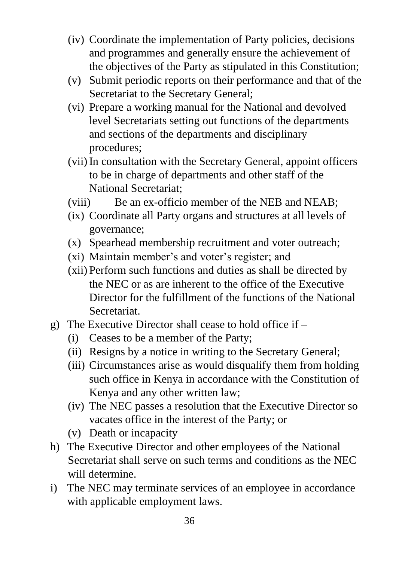- (iv) Coordinate the implementation of Party policies, decisions and programmes and generally ensure the achievement of the objectives of the Party as stipulated in this Constitution;
- (v) Submit periodic reports on their performance and that of the Secretariat to the Secretary General;
- (vi) Prepare a working manual for the National and devolved level Secretariats setting out functions of the departments and sections of the departments and disciplinary procedures;
- (vii)In consultation with the Secretary General, appoint officers to be in charge of departments and other staff of the National Secretariat;
- (viii) Be an ex-officio member of the NEB and NEAB;
- (ix) Coordinate all Party organs and structures at all levels of governance;
- (x) Spearhead membership recruitment and voter outreach;
- (xi) Maintain member's and voter's register; and
- (xii) Perform such functions and duties as shall be directed by the NEC or as are inherent to the office of the Executive Director for the fulfillment of the functions of the National Secretariat.
- g) The Executive Director shall cease to hold office if
	- (i) Ceases to be a member of the Party;
	- (ii) Resigns by a notice in writing to the Secretary General;
	- (iii) Circumstances arise as would disqualify them from holding such office in Kenya in accordance with the Constitution of Kenya and any other written law;
	- (iv) The NEC passes a resolution that the Executive Director so vacates office in the interest of the Party; or
	- (v) Death or incapacity
- h) The Executive Director and other employees of the National Secretariat shall serve on such terms and conditions as the NEC will determine.
- i) The NEC may terminate services of an employee in accordance with applicable employment laws.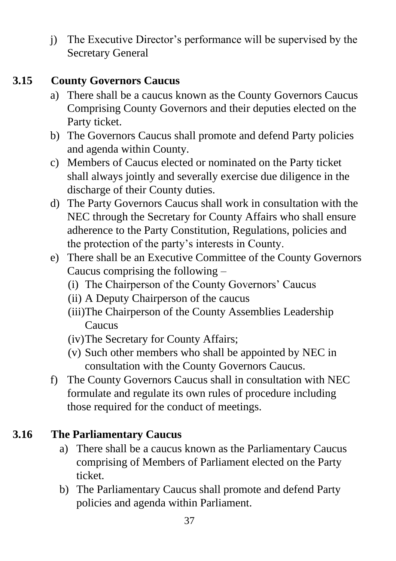j) The Executive Director's performance will be supervised by the Secretary General

#### **3.15 County Governors Caucus**

- a) There shall be a caucus known as the County Governors Caucus Comprising County Governors and their deputies elected on the Party ticket.
- b) The Governors Caucus shall promote and defend Party policies and agenda within County.
- c) Members of Caucus elected or nominated on the Party ticket shall always jointly and severally exercise due diligence in the discharge of their County duties.
- d) The Party Governors Caucus shall work in consultation with the NEC through the Secretary for County Affairs who shall ensure adherence to the Party Constitution, Regulations, policies and the protection of the party's interests in County.
- e) There shall be an Executive Committee of the County Governors Caucus comprising the following –
	- (i) The Chairperson of the County Governors' Caucus
	- (ii) A Deputy Chairperson of the caucus
	- (iii)The Chairperson of the County Assemblies Leadership **Caucus**
	- (iv)The Secretary for County Affairs;
	- (v) Such other members who shall be appointed by NEC in consultation with the County Governors Caucus.
- f) The County Governors Caucus shall in consultation with NEC formulate and regulate its own rules of procedure including those required for the conduct of meetings.

# **3.16 The Parliamentary Caucus**

- a) There shall be a caucus known as the Parliamentary Caucus comprising of Members of Parliament elected on the Party ticket.
- b) The Parliamentary Caucus shall promote and defend Party policies and agenda within Parliament.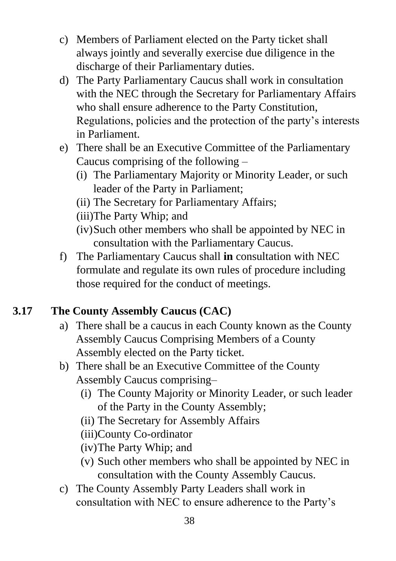- c) Members of Parliament elected on the Party ticket shall always jointly and severally exercise due diligence in the discharge of their Parliamentary duties.
- d) The Party Parliamentary Caucus shall work in consultation with the NEC through the Secretary for Parliamentary Affairs who shall ensure adherence to the Party Constitution, Regulations, policies and the protection of the party's interests in Parliament.
- e) There shall be an Executive Committee of the Parliamentary Caucus comprising of the following –
	- (i) The Parliamentary Majority or Minority Leader, or such leader of the Party in Parliament;
	- (ii) The Secretary for Parliamentary Affairs;
	- (iii)The Party Whip; and
	- (iv)Such other members who shall be appointed by NEC in consultation with the Parliamentary Caucus.
- f) The Parliamentary Caucus shall **in** consultation with NEC formulate and regulate its own rules of procedure including those required for the conduct of meetings.

# **3.17 The County Assembly Caucus (CAC)**

- a) There shall be a caucus in each County known as the County Assembly Caucus Comprising Members of a County Assembly elected on the Party ticket.
- b) There shall be an Executive Committee of the County Assembly Caucus comprising–
	- (i) The County Majority or Minority Leader, or such leader of the Party in the County Assembly;
	- (ii) The Secretary for Assembly Affairs
	- (iii)County Co-ordinator
	- (iv)The Party Whip; and
	- (v) Such other members who shall be appointed by NEC in consultation with the County Assembly Caucus.
- c) The County Assembly Party Leaders shall work in consultation with NEC to ensure adherence to the Party's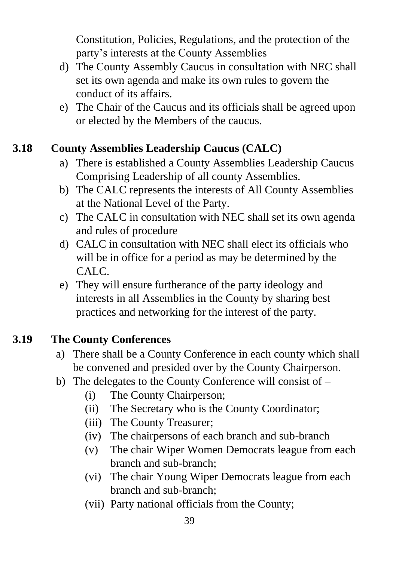Constitution, Policies, Regulations, and the protection of the party's interests at the County Assemblies

- d) The County Assembly Caucus in consultation with NEC shall set its own agenda and make its own rules to govern the conduct of its affairs.
- e) The Chair of the Caucus and its officials shall be agreed upon or elected by the Members of the caucus.

# **3.18 County Assemblies Leadership Caucus (CALC)**

- a) There is established a County Assemblies Leadership Caucus Comprising Leadership of all county Assemblies.
- b) The CALC represents the interests of All County Assemblies at the National Level of the Party.
- c) The CALC in consultation with NEC shall set its own agenda and rules of procedure
- d) CALC in consultation with NEC shall elect its officials who will be in office for a period as may be determined by the CALC.
- e) They will ensure furtherance of the party ideology and interests in all Assemblies in the County by sharing best practices and networking for the interest of the party.

#### **3.19 The County Conferences**

- a) There shall be a County Conference in each county which shall be convened and presided over by the County Chairperson.
- b) The delegates to the County Conference will consist of
	- (i) The County Chairperson;
	- (ii) The Secretary who is the County Coordinator;
	- (iii) The County Treasurer;
	- (iv) The chairpersons of each branch and sub-branch
	- (v) The chair Wiper Women Democrats league from each branch and sub-branch;
	- (vi) The chair Young Wiper Democrats league from each branch and sub-branch;
	- (vii) Party national officials from the County;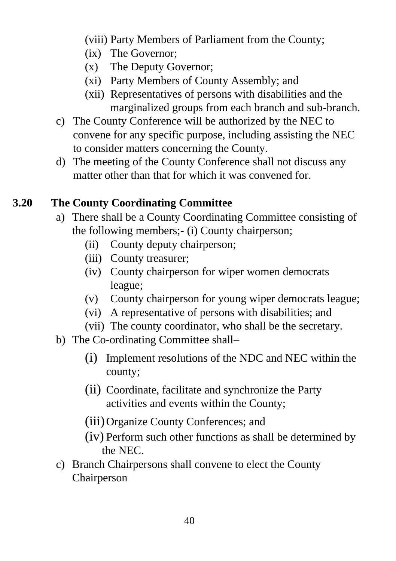(viii) Party Members of Parliament from the County;

- (ix) The Governor;
- (x) The Deputy Governor;
- (xi) Party Members of County Assembly; and
- (xii) Representatives of persons with disabilities and the marginalized groups from each branch and sub-branch.
- c) The County Conference will be authorized by the NEC to convene for any specific purpose, including assisting the NEC to consider matters concerning the County.
- d) The meeting of the County Conference shall not discuss any matter other than that for which it was convened for.

# **3.20 The County Coordinating Committee**

- a) There shall be a County Coordinating Committee consisting of the following members;- (i) County chairperson;
	- (ii) County deputy chairperson;
	- (iii) County treasurer;
	- (iv) County chairperson for wiper women democrats league;
	- (v) County chairperson for young wiper democrats league;
	- (vi) A representative of persons with disabilities; and
	- (vii) The county coordinator, who shall be the secretary.
- b) The Co-ordinating Committee shall–
	- (i) Implement resolutions of the NDC and NEC within the county;
	- (ii) Coordinate, facilitate and synchronize the Party activities and events within the County;
	- (iii)Organize County Conferences; and
	- (iv) Perform such other functions as shall be determined by the NEC.
- c) Branch Chairpersons shall convene to elect the County Chairperson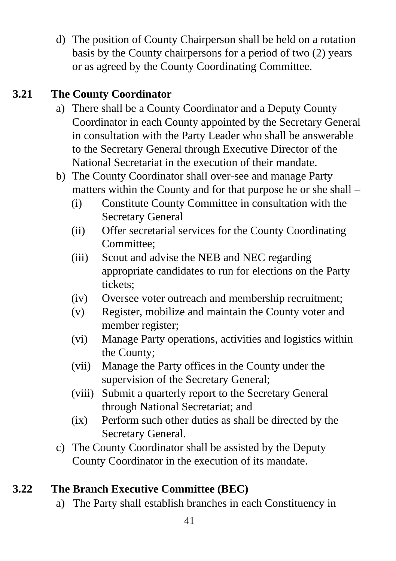d) The position of County Chairperson shall be held on a rotation basis by the County chairpersons for a period of two (2) years or as agreed by the County Coordinating Committee.

# **3.21 The County Coordinator**

- a) There shall be a County Coordinator and a Deputy County Coordinator in each County appointed by the Secretary General in consultation with the Party Leader who shall be answerable to the Secretary General through Executive Director of the National Secretariat in the execution of their mandate.
- b) The County Coordinator shall over-see and manage Party matters within the County and for that purpose he or she shall –
	- (i) Constitute County Committee in consultation with the Secretary General
	- (ii) Offer secretarial services for the County Coordinating Committee;
	- (iii) Scout and advise the NEB and NEC regarding appropriate candidates to run for elections on the Party tickets;
	- (iv) Oversee voter outreach and membership recruitment;
	- (v) Register, mobilize and maintain the County voter and member register;
	- (vi) Manage Party operations, activities and logistics within the County;
	- (vii) Manage the Party offices in the County under the supervision of the Secretary General;
	- (viii) Submit a quarterly report to the Secretary General through National Secretariat; and
	- (ix) Perform such other duties as shall be directed by the Secretary General.
- c) The County Coordinator shall be assisted by the Deputy County Coordinator in the execution of its mandate.

# **3.22 The Branch Executive Committee (BEC)**

a) The Party shall establish branches in each Constituency in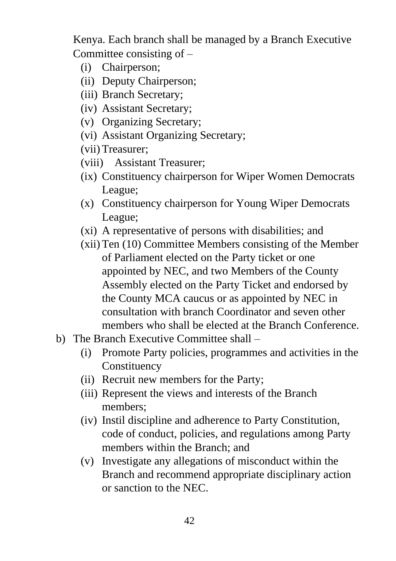Kenya. Each branch shall be managed by a Branch Executive Committee consisting of –

- (i) Chairperson;
- (ii) Deputy Chairperson;
- (iii) Branch Secretary;
- (iv) Assistant Secretary;
- (v) Organizing Secretary;
- (vi) Assistant Organizing Secretary;
- (vii) Treasurer;
- (viii) Assistant Treasurer;
- (ix) Constituency chairperson for Wiper Women Democrats League;
- (x) Constituency chairperson for Young Wiper Democrats League;
- (xi) A representative of persons with disabilities; and
- (xii) Ten (10) Committee Members consisting of the Member of Parliament elected on the Party ticket or one appointed by NEC, and two Members of the County Assembly elected on the Party Ticket and endorsed by the County MCA caucus or as appointed by NEC in consultation with branch Coordinator and seven other members who shall be elected at the Branch Conference.
- b) The Branch Executive Committee shall
	- (i) Promote Party policies, programmes and activities in the Constituency
	- (ii) Recruit new members for the Party;
	- (iii) Represent the views and interests of the Branch members;
	- (iv) Instil discipline and adherence to Party Constitution, code of conduct, policies, and regulations among Party members within the Branch; and
	- (v) Investigate any allegations of misconduct within the Branch and recommend appropriate disciplinary action or sanction to the NEC.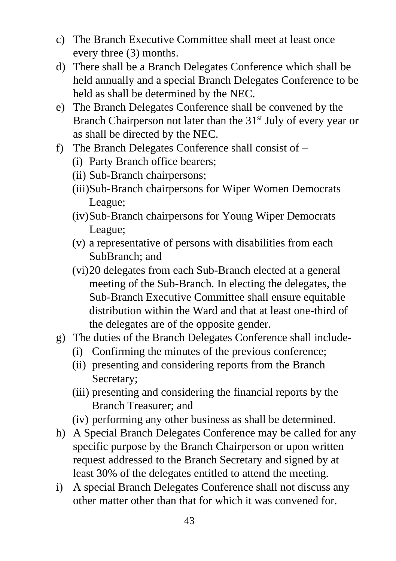- c) The Branch Executive Committee shall meet at least once every three (3) months.
- d) There shall be a Branch Delegates Conference which shall be held annually and a special Branch Delegates Conference to be held as shall be determined by the NEC.
- e) The Branch Delegates Conference shall be convened by the Branch Chairperson not later than the  $31<sup>st</sup>$  July of every year or as shall be directed by the NEC.
- f) The Branch Delegates Conference shall consist of
	- (i) Party Branch office bearers;
	- (ii) Sub-Branch chairpersons;
	- (iii)Sub-Branch chairpersons for Wiper Women Democrats League;
	- (iv)Sub-Branch chairpersons for Young Wiper Democrats League;
	- (v) a representative of persons with disabilities from each SubBranch; and
	- (vi)20 delegates from each Sub-Branch elected at a general meeting of the Sub-Branch. In electing the delegates, the Sub-Branch Executive Committee shall ensure equitable distribution within the Ward and that at least one-third of the delegates are of the opposite gender.
- g) The duties of the Branch Delegates Conference shall include-
	- (i) Confirming the minutes of the previous conference;
	- (ii) presenting and considering reports from the Branch Secretary;
	- (iii) presenting and considering the financial reports by the Branch Treasurer; and
	- (iv) performing any other business as shall be determined.
- h) A Special Branch Delegates Conference may be called for any specific purpose by the Branch Chairperson or upon written request addressed to the Branch Secretary and signed by at least 30% of the delegates entitled to attend the meeting.
- i) A special Branch Delegates Conference shall not discuss any other matter other than that for which it was convened for.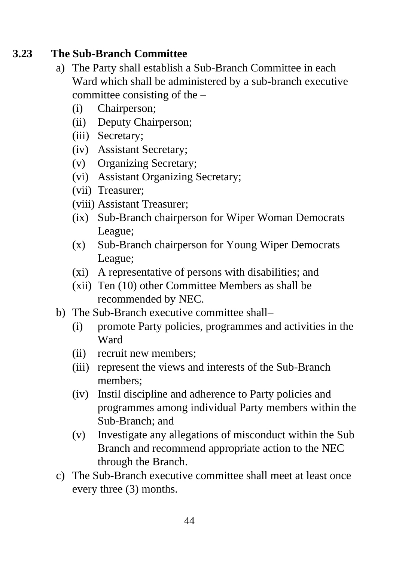#### **3.23 The Sub-Branch Committee**

- a) The Party shall establish a Sub-Branch Committee in each Ward which shall be administered by a sub-branch executive committee consisting of the –
	- (i) Chairperson;
	- (ii) Deputy Chairperson;
	- (iii) Secretary;
	- (iv) Assistant Secretary;
	- (v) Organizing Secretary;
	- (vi) Assistant Organizing Secretary;
	- (vii) Treasurer;
	- (viii) Assistant Treasurer;
	- (ix) Sub-Branch chairperson for Wiper Woman Democrats League;
	- (x) Sub-Branch chairperson for Young Wiper Democrats League;
	- (xi) A representative of persons with disabilities; and
	- (xii) Ten (10) other Committee Members as shall be recommended by NEC.
- b) The Sub-Branch executive committee shall–
	- (i) promote Party policies, programmes and activities in the Ward
	- (ii) recruit new members;
	- (iii) represent the views and interests of the Sub-Branch members;
	- (iv) Instil discipline and adherence to Party policies and programmes among individual Party members within the Sub-Branch; and
	- (v) Investigate any allegations of misconduct within the Sub Branch and recommend appropriate action to the NEC through the Branch.
- c) The Sub-Branch executive committee shall meet at least once every three (3) months.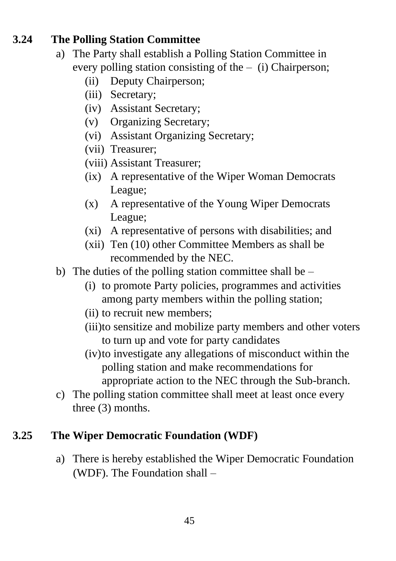#### **3.24 The Polling Station Committee**

- a) The Party shall establish a Polling Station Committee in every polling station consisting of the – (i) Chairperson;
	- (ii) Deputy Chairperson;
	- (iii) Secretary;
	- (iv) Assistant Secretary;
	- (v) Organizing Secretary;
	- (vi) Assistant Organizing Secretary;
	- (vii) Treasurer;
	- (viii) Assistant Treasurer;
	- (ix) A representative of the Wiper Woman Democrats League;
	- (x) A representative of the Young Wiper Democrats League;
	- (xi) A representative of persons with disabilities; and
	- (xii) Ten (10) other Committee Members as shall be recommended by the NEC.
- b) The duties of the polling station committee shall be  $-$ 
	- (i) to promote Party policies, programmes and activities among party members within the polling station;
	- (ii) to recruit new members;
	- (iii)to sensitize and mobilize party members and other voters to turn up and vote for party candidates
	- (iv)to investigate any allegations of misconduct within the polling station and make recommendations for appropriate action to the NEC through the Sub-branch.
- c) The polling station committee shall meet at least once every three (3) months.

# **3.25 The Wiper Democratic Foundation (WDF)**

a) There is hereby established the Wiper Democratic Foundation (WDF). The Foundation shall –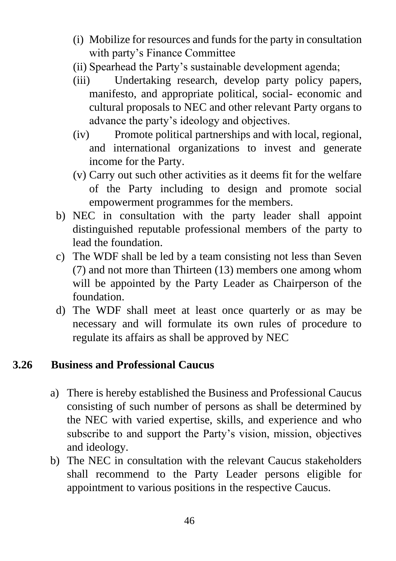- (i) Mobilize for resources and funds for the party in consultation with party's Finance Committee
- (ii) Spearhead the Party's sustainable development agenda;
- (iii) Undertaking research, develop party policy papers, manifesto, and appropriate political, social- economic and cultural proposals to NEC and other relevant Party organs to advance the party's ideology and objectives.
- (iv) Promote political partnerships and with local, regional, and international organizations to invest and generate income for the Party.
- (v) Carry out such other activities as it deems fit for the welfare of the Party including to design and promote social empowerment programmes for the members.
- b) NEC in consultation with the party leader shall appoint distinguished reputable professional members of the party to lead the foundation.
- c) The WDF shall be led by a team consisting not less than Seven (7) and not more than Thirteen (13) members one among whom will be appointed by the Party Leader as Chairperson of the foundation.
- d) The WDF shall meet at least once quarterly or as may be necessary and will formulate its own rules of procedure to regulate its affairs as shall be approved by NEC

#### **3.26 Business and Professional Caucus**

- a) There is hereby established the Business and Professional Caucus consisting of such number of persons as shall be determined by the NEC with varied expertise, skills, and experience and who subscribe to and support the Party's vision, mission, objectives and ideology.
- b) The NEC in consultation with the relevant Caucus stakeholders shall recommend to the Party Leader persons eligible for appointment to various positions in the respective Caucus.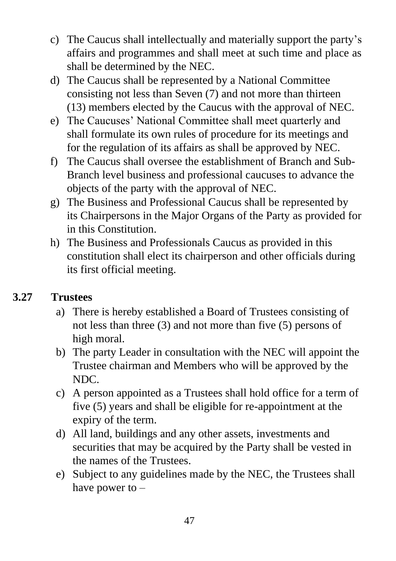- c) The Caucus shall intellectually and materially support the party's affairs and programmes and shall meet at such time and place as shall be determined by the NEC.
- d) The Caucus shall be represented by a National Committee consisting not less than Seven (7) and not more than thirteen (13) members elected by the Caucus with the approval of NEC.
- e) The Caucuses' National Committee shall meet quarterly and shall formulate its own rules of procedure for its meetings and for the regulation of its affairs as shall be approved by NEC.
- f) The Caucus shall oversee the establishment of Branch and Sub-Branch level business and professional caucuses to advance the objects of the party with the approval of NEC.
- g) The Business and Professional Caucus shall be represented by its Chairpersons in the Major Organs of the Party as provided for in this Constitution.
- h) The Business and Professionals Caucus as provided in this constitution shall elect its chairperson and other officials during its first official meeting.

# **3.27 Trustees**

- a) There is hereby established a Board of Trustees consisting of not less than three (3) and not more than five (5) persons of high moral.
- b) The party Leader in consultation with the NEC will appoint the Trustee chairman and Members who will be approved by the NDC.
- c) A person appointed as a Trustees shall hold office for a term of five (5) years and shall be eligible for re-appointment at the expiry of the term.
- d) All land, buildings and any other assets, investments and securities that may be acquired by the Party shall be vested in the names of the Trustees.
- e) Subject to any guidelines made by the NEC, the Trustees shall have power to –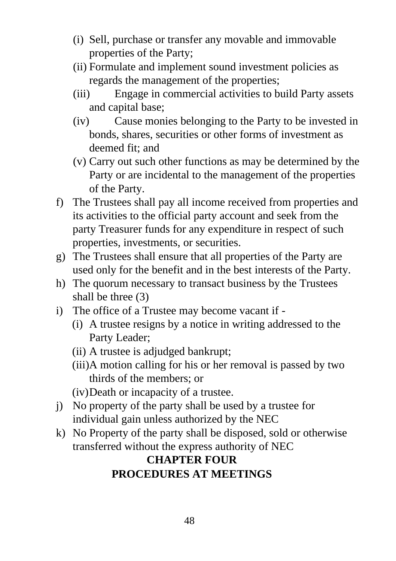- (i) Sell, purchase or transfer any movable and immovable properties of the Party;
- (ii) Formulate and implement sound investment policies as regards the management of the properties;
- (iii) Engage in commercial activities to build Party assets and capital base;
- (iv) Cause monies belonging to the Party to be invested in bonds, shares, securities or other forms of investment as deemed fit; and
- (v) Carry out such other functions as may be determined by the Party or are incidental to the management of the properties of the Party.
- f) The Trustees shall pay all income received from properties and its activities to the official party account and seek from the party Treasurer funds for any expenditure in respect of such properties, investments, or securities.
- g) The Trustees shall ensure that all properties of the Party are used only for the benefit and in the best interests of the Party.
- h) The quorum necessary to transact business by the Trustees shall be three (3)
- i) The office of a Trustee may become vacant if
	- (i) A trustee resigns by a notice in writing addressed to the Party Leader;
	- (ii) A trustee is adjudged bankrupt;
	- (iii)A motion calling for his or her removal is passed by two thirds of the members; or
	- (iv)Death or incapacity of a trustee.
- j) No property of the party shall be used by a trustee for individual gain unless authorized by the NEC
- k) No Property of the party shall be disposed, sold or otherwise transferred without the express authority of NEC

# **CHAPTER FOUR PROCEDURES AT MEETINGS**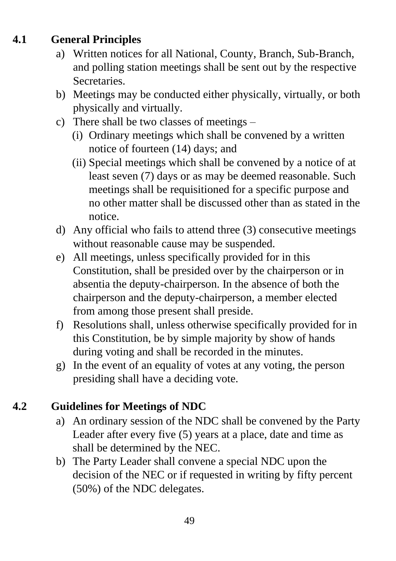# **4.1 General Principles**

- a) Written notices for all National, County, Branch, Sub-Branch, and polling station meetings shall be sent out by the respective Secretaries.
- b) Meetings may be conducted either physically, virtually, or both physically and virtually.
- c) There shall be two classes of meetings
	- (i) Ordinary meetings which shall be convened by a written notice of fourteen (14) days; and
	- (ii) Special meetings which shall be convened by a notice of at least seven (7) days or as may be deemed reasonable. Such meetings shall be requisitioned for a specific purpose and no other matter shall be discussed other than as stated in the notice.
- d) Any official who fails to attend three (3) consecutive meetings without reasonable cause may be suspended.
- e) All meetings, unless specifically provided for in this Constitution, shall be presided over by the chairperson or in absentia the deputy-chairperson. In the absence of both the chairperson and the deputy-chairperson, a member elected from among those present shall preside.
- f) Resolutions shall, unless otherwise specifically provided for in this Constitution, be by simple majority by show of hands during voting and shall be recorded in the minutes.
- g) In the event of an equality of votes at any voting, the person presiding shall have a deciding vote.

# **4.2 Guidelines for Meetings of NDC**

- a) An ordinary session of the NDC shall be convened by the Party Leader after every five (5) years at a place, date and time as shall be determined by the NEC.
- b) The Party Leader shall convene a special NDC upon the decision of the NEC or if requested in writing by fifty percent (50%) of the NDC delegates.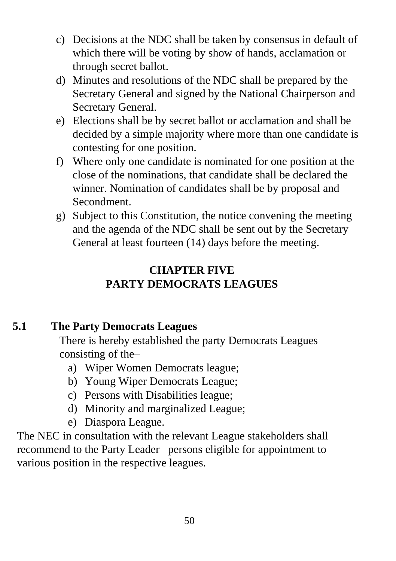- c) Decisions at the NDC shall be taken by consensus in default of which there will be voting by show of hands, acclamation or through secret ballot.
- d) Minutes and resolutions of the NDC shall be prepared by the Secretary General and signed by the National Chairperson and Secretary General.
- e) Elections shall be by secret ballot or acclamation and shall be decided by a simple majority where more than one candidate is contesting for one position.
- f) Where only one candidate is nominated for one position at the close of the nominations, that candidate shall be declared the winner. Nomination of candidates shall be by proposal and Secondment.
- g) Subject to this Constitution, the notice convening the meeting and the agenda of the NDC shall be sent out by the Secretary General at least fourteen (14) days before the meeting.

# **CHAPTER FIVE PARTY DEMOCRATS LEAGUES**

# **5.1 The Party Democrats Leagues**

There is hereby established the party Democrats Leagues consisting of the–

- a) Wiper Women Democrats league;
- b) Young Wiper Democrats League;
- c) Persons with Disabilities league;
- d) Minority and marginalized League;
- e) Diaspora League.

The NEC in consultation with the relevant League stakeholders shall recommend to the Party Leader persons eligible for appointment to various position in the respective leagues.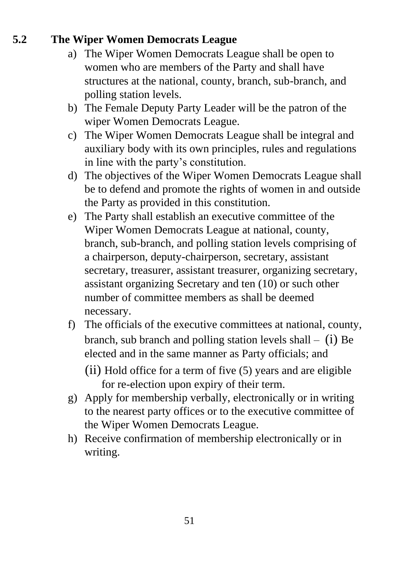# **5.2 The Wiper Women Democrats League**

- a) The Wiper Women Democrats League shall be open to women who are members of the Party and shall have structures at the national, county, branch, sub-branch, and polling station levels.
- b) The Female Deputy Party Leader will be the patron of the wiper Women Democrats League.
- c) The Wiper Women Democrats League shall be integral and auxiliary body with its own principles, rules and regulations in line with the party's constitution.
- d) The objectives of the Wiper Women Democrats League shall be to defend and promote the rights of women in and outside the Party as provided in this constitution.
- e) The Party shall establish an executive committee of the Wiper Women Democrats League at national, county, branch, sub-branch, and polling station levels comprising of a chairperson, deputy-chairperson, secretary, assistant secretary, treasurer, assistant treasurer, organizing secretary, assistant organizing Secretary and ten (10) or such other number of committee members as shall be deemed necessary.
- f) The officials of the executive committees at national, county, branch, sub branch and polling station levels shall  $-$  (i) Be elected and in the same manner as Party officials; and (ii) Hold office for a term of five (5) years and are eligible for re-election upon expiry of their term.
- g) Apply for membership verbally, electronically or in writing to the nearest party offices or to the executive committee of the Wiper Women Democrats League.
- h) Receive confirmation of membership electronically or in writing.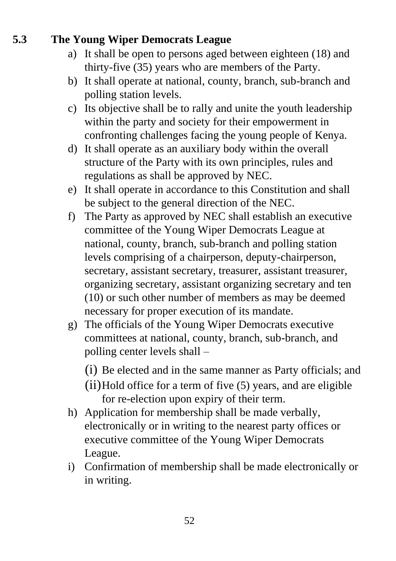# **5.3 The Young Wiper Democrats League**

- a) It shall be open to persons aged between eighteen (18) and thirty-five (35) years who are members of the Party.
- b) It shall operate at national, county, branch, sub-branch and polling station levels.
- c) Its objective shall be to rally and unite the youth leadership within the party and society for their empowerment in confronting challenges facing the young people of Kenya.
- d) It shall operate as an auxiliary body within the overall structure of the Party with its own principles, rules and regulations as shall be approved by NEC.
- e) It shall operate in accordance to this Constitution and shall be subject to the general direction of the NEC.
- f) The Party as approved by NEC shall establish an executive committee of the Young Wiper Democrats League at national, county, branch, sub-branch and polling station levels comprising of a chairperson, deputy-chairperson, secretary, assistant secretary, treasurer, assistant treasurer, organizing secretary, assistant organizing secretary and ten (10) or such other number of members as may be deemed necessary for proper execution of its mandate.
- g) The officials of the Young Wiper Democrats executive committees at national, county, branch, sub-branch, and polling center levels shall –
	- (i) Be elected and in the same manner as Party officials; and
	- (ii)Hold office for a term of five (5) years, and are eligible for re-election upon expiry of their term.
- h) Application for membership shall be made verbally, electronically or in writing to the nearest party offices or executive committee of the Young Wiper Democrats League.
- i) Confirmation of membership shall be made electronically or in writing.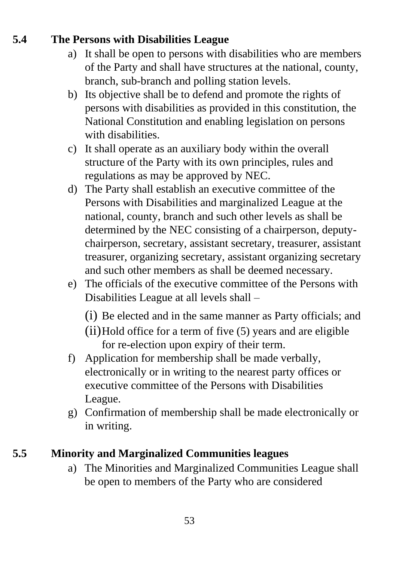# **5.4 The Persons with Disabilities League**

- a) It shall be open to persons with disabilities who are members of the Party and shall have structures at the national, county, branch, sub-branch and polling station levels.
- b) Its objective shall be to defend and promote the rights of persons with disabilities as provided in this constitution, the National Constitution and enabling legislation on persons with disabilities.
- c) It shall operate as an auxiliary body within the overall structure of the Party with its own principles, rules and regulations as may be approved by NEC.
- d) The Party shall establish an executive committee of the Persons with Disabilities and marginalized League at the national, county, branch and such other levels as shall be determined by the NEC consisting of a chairperson, deputychairperson, secretary, assistant secretary, treasurer, assistant treasurer, organizing secretary, assistant organizing secretary and such other members as shall be deemed necessary.
- e) The officials of the executive committee of the Persons with Disabilities League at all levels shall –
	- (i) Be elected and in the same manner as Party officials; and
	- (ii)Hold office for a term of five (5) years and are eligible for re-election upon expiry of their term.
- f) Application for membership shall be made verbally, electronically or in writing to the nearest party offices or executive committee of the Persons with Disabilities League.
- g) Confirmation of membership shall be made electronically or in writing.

# **5.5 Minority and Marginalized Communities leagues**

a) The Minorities and Marginalized Communities League shall be open to members of the Party who are considered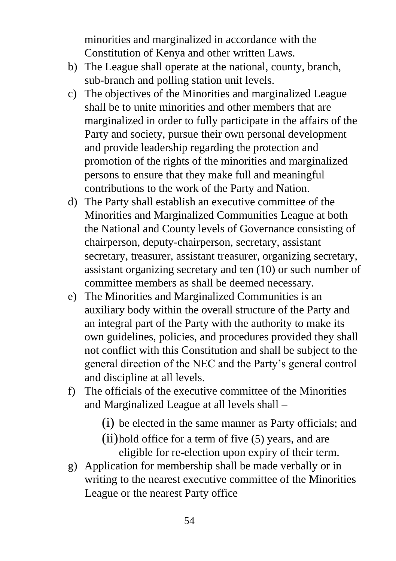minorities and marginalized in accordance with the Constitution of Kenya and other written Laws.

- b) The League shall operate at the national, county, branch, sub-branch and polling station unit levels.
- c) The objectives of the Minorities and marginalized League shall be to unite minorities and other members that are marginalized in order to fully participate in the affairs of the Party and society, pursue their own personal development and provide leadership regarding the protection and promotion of the rights of the minorities and marginalized persons to ensure that they make full and meaningful contributions to the work of the Party and Nation.
- d) The Party shall establish an executive committee of the Minorities and Marginalized Communities League at both the National and County levels of Governance consisting of chairperson, deputy-chairperson, secretary, assistant secretary, treasurer, assistant treasurer, organizing secretary, assistant organizing secretary and ten (10) or such number of committee members as shall be deemed necessary.
- e) The Minorities and Marginalized Communities is an auxiliary body within the overall structure of the Party and an integral part of the Party with the authority to make its own guidelines, policies, and procedures provided they shall not conflict with this Constitution and shall be subject to the general direction of the NEC and the Party's general control and discipline at all levels.
- f) The officials of the executive committee of the Minorities and Marginalized League at all levels shall –
	- (i) be elected in the same manner as Party officials; and
	- (ii)hold office for a term of five (5) years, and are eligible for re-election upon expiry of their term.
- g) Application for membership shall be made verbally or in writing to the nearest executive committee of the Minorities League or the nearest Party office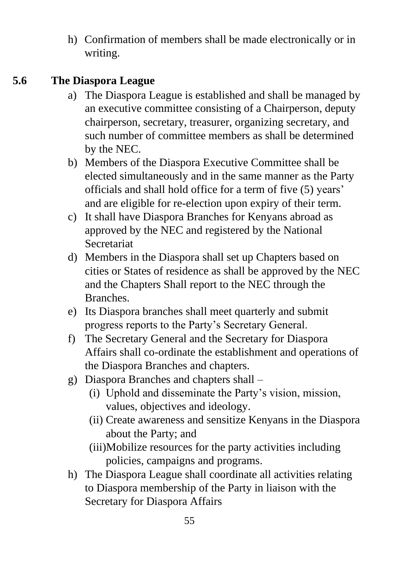h) Confirmation of members shall be made electronically or in writing.

#### **5.6 The Diaspora League**

- a) The Diaspora League is established and shall be managed by an executive committee consisting of a Chairperson, deputy chairperson, secretary, treasurer, organizing secretary, and such number of committee members as shall be determined by the NEC.
- b) Members of the Diaspora Executive Committee shall be elected simultaneously and in the same manner as the Party officials and shall hold office for a term of five (5) years' and are eligible for re-election upon expiry of their term.
- c) It shall have Diaspora Branches for Kenyans abroad as approved by the NEC and registered by the National Secretariat
- d) Members in the Diaspora shall set up Chapters based on cities or States of residence as shall be approved by the NEC and the Chapters Shall report to the NEC through the Branches.
- e) Its Diaspora branches shall meet quarterly and submit progress reports to the Party's Secretary General.
- f) The Secretary General and the Secretary for Diaspora Affairs shall co-ordinate the establishment and operations of the Diaspora Branches and chapters.
- g) Diaspora Branches and chapters shall
	- (i) Uphold and disseminate the Party's vision, mission, values, objectives and ideology.
	- (ii) Create awareness and sensitize Kenyans in the Diaspora about the Party; and
	- (iii)Mobilize resources for the party activities including policies, campaigns and programs.
- h) The Diaspora League shall coordinate all activities relating to Diaspora membership of the Party in liaison with the Secretary for Diaspora Affairs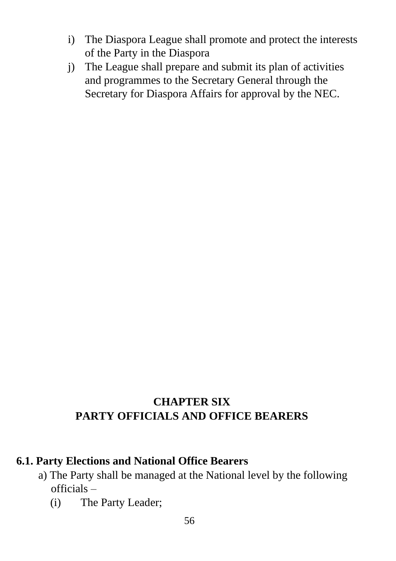- i) The Diaspora League shall promote and protect the interests of the Party in the Diaspora
- j) The League shall prepare and submit its plan of activities and programmes to the Secretary General through the Secretary for Diaspora Affairs for approval by the NEC.

# **CHAPTER SIX PARTY OFFICIALS AND OFFICE BEARERS**

#### **6.1. Party Elections and National Office Bearers**

- a) The Party shall be managed at the National level by the following officials –
	- (i) The Party Leader;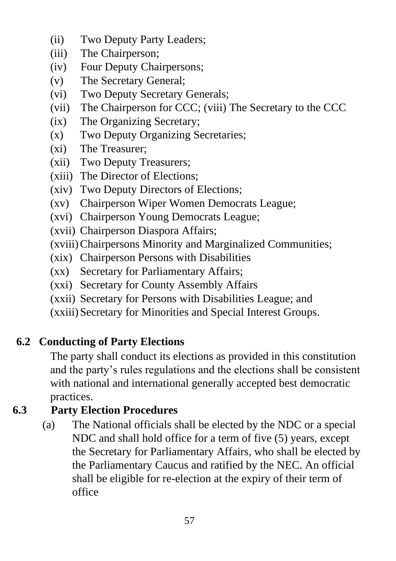- (ii) Two Deputy Party Leaders;
- (iii) The Chairperson;
- (iv) Four Deputy Chairpersons;
- (v) The Secretary General;
- (vi) Two Deputy Secretary Generals;
- (vii) The Chairperson for CCC; (viii) The Secretary to the CCC
- (ix) The Organizing Secretary;
- (x) Two Deputy Organizing Secretaries;
- (xi) The Treasurer;
- (xii) Two Deputy Treasurers;
- (xiii) The Director of Elections;
- (xiv) Two Deputy Directors of Elections;
- (xv) Chairperson Wiper Women Democrats League;
- (xvi) Chairperson Young Democrats League;
- (xvii) Chairperson Diaspora Affairs;
- (xviii)Chairpersons Minority and Marginalized Communities;
- (xix) Chairperson Persons with Disabilities
- (xx) Secretary for Parliamentary Affairs;
- (xxi) Secretary for County Assembly Affairs
- (xxii) Secretary for Persons with Disabilities League; and
- (xxiii) Secretary for Minorities and Special Interest Groups.

# **6.2 Conducting of Party Elections**

The party shall conduct its elections as provided in this constitution and the party's rules regulations and the elections shall be consistent with national and international generally accepted best democratic practices.

# **6.3 Party Election Procedures**

(a) The National officials shall be elected by the NDC or a special NDC and shall hold office for a term of five (5) years, except the Secretary for Parliamentary Affairs, who shall be elected by the Parliamentary Caucus and ratified by the NEC. An official shall be eligible for re-election at the expiry of their term of office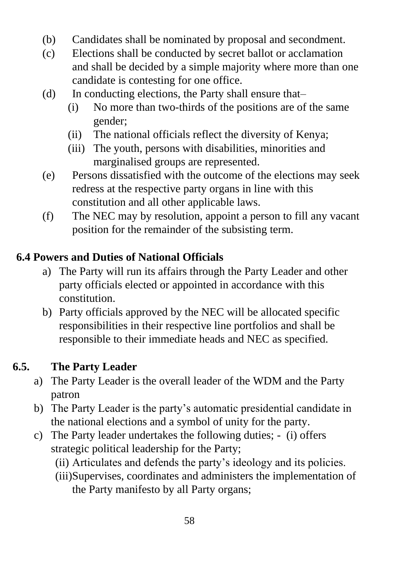- (b) Candidates shall be nominated by proposal and secondment.
- (c) Elections shall be conducted by secret ballot or acclamation and shall be decided by a simple majority where more than one candidate is contesting for one office.
- (d) In conducting elections, the Party shall ensure that–
	- (i) No more than two-thirds of the positions are of the same gender;
	- (ii) The national officials reflect the diversity of Kenya;
	- (iii) The youth, persons with disabilities, minorities and marginalised groups are represented.
- (e) Persons dissatisfied with the outcome of the elections may seek redress at the respective party organs in line with this constitution and all other applicable laws.
- (f) The NEC may by resolution, appoint a person to fill any vacant position for the remainder of the subsisting term.

# **6.4 Powers and Duties of National Officials**

- a) The Party will run its affairs through the Party Leader and other party officials elected or appointed in accordance with this constitution.
- b) Party officials approved by the NEC will be allocated specific responsibilities in their respective line portfolios and shall be responsible to their immediate heads and NEC as specified.

# **6.5. The Party Leader**

- a) The Party Leader is the overall leader of the WDM and the Party patron
- b) The Party Leader is the party's automatic presidential candidate in the national elections and a symbol of unity for the party.
- c) The Party leader undertakes the following duties; (i) offers strategic political leadership for the Party;
	- (ii) Articulates and defends the party's ideology and its policies.
	- (iii)Supervises, coordinates and administers the implementation of the Party manifesto by all Party organs;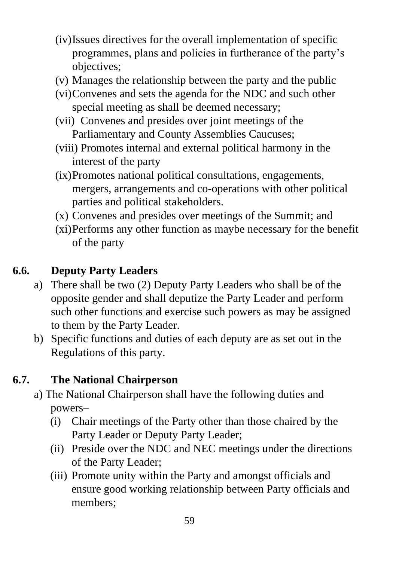- (iv)Issues directives for the overall implementation of specific programmes, plans and policies in furtherance of the party's objectives;
- (v) Manages the relationship between the party and the public
- (vi)Convenes and sets the agenda for the NDC and such other special meeting as shall be deemed necessary;
- (vii) Convenes and presides over joint meetings of the Parliamentary and County Assemblies Caucuses;
- (viii) Promotes internal and external political harmony in the interest of the party
- (ix)Promotes national political consultations, engagements, mergers, arrangements and co-operations with other political parties and political stakeholders.
- (x) Convenes and presides over meetings of the Summit; and
- (xi)Performs any other function as maybe necessary for the benefit of the party

# **6.6. Deputy Party Leaders**

- a) There shall be two (2) Deputy Party Leaders who shall be of the opposite gender and shall deputize the Party Leader and perform such other functions and exercise such powers as may be assigned to them by the Party Leader.
- b) Specific functions and duties of each deputy are as set out in the Regulations of this party.

# **6.7. The National Chairperson**

- a) The National Chairperson shall have the following duties and powers–
	- (i) Chair meetings of the Party other than those chaired by the Party Leader or Deputy Party Leader;
	- (ii) Preside over the NDC and NEC meetings under the directions of the Party Leader;
	- (iii) Promote unity within the Party and amongst officials and ensure good working relationship between Party officials and members;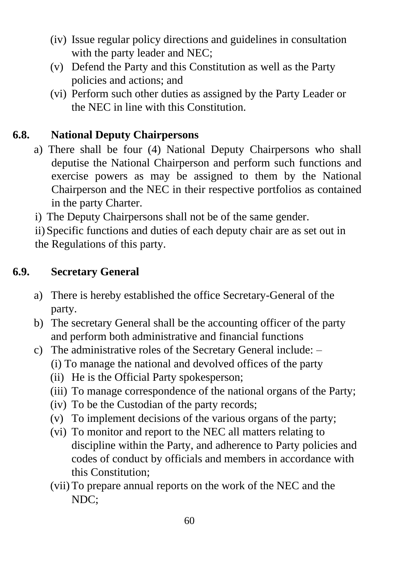- (iv) Issue regular policy directions and guidelines in consultation with the party leader and NEC;
- (v) Defend the Party and this Constitution as well as the Party policies and actions; and
- (vi) Perform such other duties as assigned by the Party Leader or the NEC in line with this Constitution.

# **6.8. National Deputy Chairpersons**

- a) There shall be four (4) National Deputy Chairpersons who shall deputise the National Chairperson and perform such functions and exercise powers as may be assigned to them by the National Chairperson and the NEC in their respective portfolios as contained in the party Charter.
- i) The Deputy Chairpersons shall not be of the same gender.

ii) Specific functions and duties of each deputy chair are as set out in the Regulations of this party.

# **6.9. Secretary General**

- a) There is hereby established the office Secretary-General of the party.
- b) The secretary General shall be the accounting officer of the party and perform both administrative and financial functions
- c) The administrative roles of the Secretary General include:
	- (i) To manage the national and devolved offices of the party
	- (ii) He is the Official Party spokesperson;
	- (iii) To manage correspondence of the national organs of the Party;
	- (iv) To be the Custodian of the party records;
	- (v) To implement decisions of the various organs of the party;
	- (vi) To monitor and report to the NEC all matters relating to discipline within the Party, and adherence to Party policies and codes of conduct by officials and members in accordance with this Constitution;
	- (vii) To prepare annual reports on the work of the NEC and the NDC;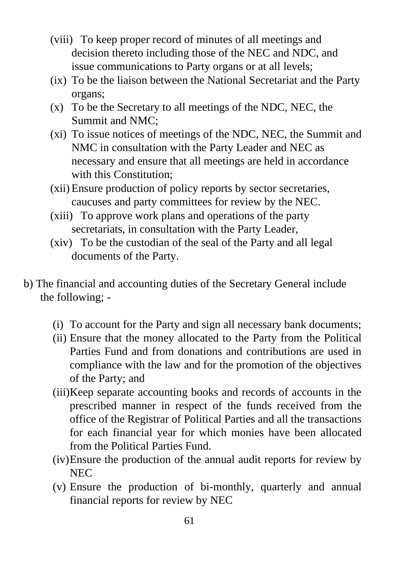- (viii) To keep proper record of minutes of all meetings and decision thereto including those of the NEC and NDC, and issue communications to Party organs or at all levels;
- (ix) To be the liaison between the National Secretariat and the Party organs;
- (x) To be the Secretary to all meetings of the NDC, NEC, the Summit and NMC;
- (xi) To issue notices of meetings of the NDC, NEC, the Summit and NMC in consultation with the Party Leader and NEC as necessary and ensure that all meetings are held in accordance with this Constitution:
- (xii) Ensure production of policy reports by sector secretaries, caucuses and party committees for review by the NEC.
- (xiii) To approve work plans and operations of the party secretariats, in consultation with the Party Leader,
- (xiv) To be the custodian of the seal of the Party and all legal documents of the Party.
- b) The financial and accounting duties of the Secretary General include the following; -
	- (i) To account for the Party and sign all necessary bank documents;
	- (ii) Ensure that the money allocated to the Party from the Political Parties Fund and from donations and contributions are used in compliance with the law and for the promotion of the objectives of the Party; and
	- (iii)Keep separate accounting books and records of accounts in the prescribed manner in respect of the funds received from the office of the Registrar of Political Parties and all the transactions for each financial year for which monies have been allocated from the Political Parties Fund.
	- (iv)Ensure the production of the annual audit reports for review by **NEC**
	- (v) Ensure the production of bi-monthly, quarterly and annual financial reports for review by NEC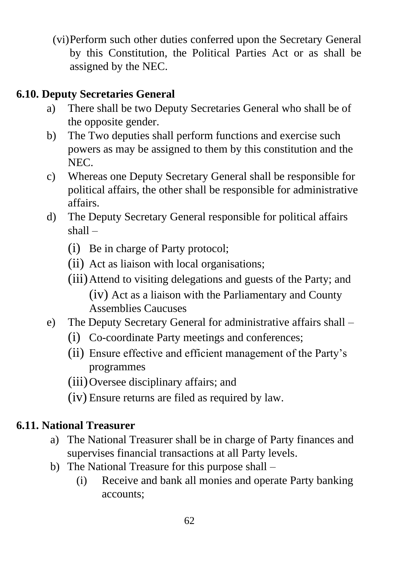(vi)Perform such other duties conferred upon the Secretary General by this Constitution, the Political Parties Act or as shall be assigned by the NEC.

# **6.10. Deputy Secretaries General**

- a) There shall be two Deputy Secretaries General who shall be of the opposite gender.
- b) The Two deputies shall perform functions and exercise such powers as may be assigned to them by this constitution and the NEC.
- c) Whereas one Deputy Secretary General shall be responsible for political affairs, the other shall be responsible for administrative affairs.
- d) The Deputy Secretary General responsible for political affairs shall –
	- (i) Be in charge of Party protocol;
	- (ii) Act as liaison with local organisations;
	- (iii)Attend to visiting delegations and guests of the Party; and (iv) Act as a liaison with the Parliamentary and County Assemblies Caucuses
- e) The Deputy Secretary General for administrative affairs shall
	- (i) Co-coordinate Party meetings and conferences;
	- (ii) Ensure effective and efficient management of the Party's programmes
	- (iii)Oversee disciplinary affairs; and
	- (iv) Ensure returns are filed as required by law.

# **6.11. National Treasurer**

- a) The National Treasurer shall be in charge of Party finances and supervises financial transactions at all Party levels.
- b) The National Treasure for this purpose shall
	- (i) Receive and bank all monies and operate Party banking accounts;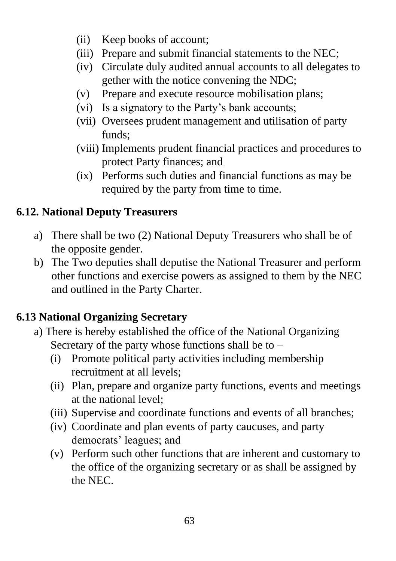- (ii) Keep books of account;
- (iii) Prepare and submit financial statements to the NEC;
- (iv) Circulate duly audited annual accounts to all delegates to gether with the notice convening the NDC;
- (v) Prepare and execute resource mobilisation plans;
- (vi) Is a signatory to the Party's bank accounts;
- (vii) Oversees prudent management and utilisation of party funds;
- (viii) Implements prudent financial practices and procedures to protect Party finances; and
- (ix) Performs such duties and financial functions as may be required by the party from time to time.

# **6.12. National Deputy Treasurers**

- a) There shall be two (2) National Deputy Treasurers who shall be of the opposite gender.
- b) The Two deputies shall deputise the National Treasurer and perform other functions and exercise powers as assigned to them by the NEC and outlined in the Party Charter.

# **6.13 National Organizing Secretary**

- a) There is hereby established the office of the National Organizing Secretary of the party whose functions shall be to  $-$ 
	- (i) Promote political party activities including membership recruitment at all levels;
	- (ii) Plan, prepare and organize party functions, events and meetings at the national level;
	- (iii) Supervise and coordinate functions and events of all branches;
	- (iv) Coordinate and plan events of party caucuses, and party democrats' leagues; and
	- (v) Perform such other functions that are inherent and customary to the office of the organizing secretary or as shall be assigned by the NEC.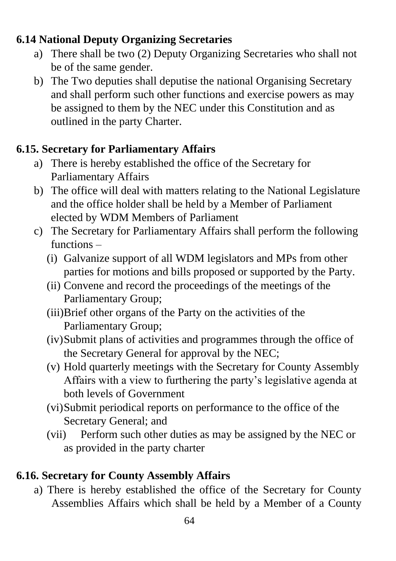#### **6.14 National Deputy Organizing Secretaries**

- a) There shall be two (2) Deputy Organizing Secretaries who shall not be of the same gender.
- b) The Two deputies shall deputise the national Organising Secretary and shall perform such other functions and exercise powers as may be assigned to them by the NEC under this Constitution and as outlined in the party Charter.

# **6.15. Secretary for Parliamentary Affairs**

- a) There is hereby established the office of the Secretary for Parliamentary Affairs
- b) The office will deal with matters relating to the National Legislature and the office holder shall be held by a Member of Parliament elected by WDM Members of Parliament
- c) The Secretary for Parliamentary Affairs shall perform the following functions –
	- (i) Galvanize support of all WDM legislators and MPs from other parties for motions and bills proposed or supported by the Party.
	- (ii) Convene and record the proceedings of the meetings of the Parliamentary Group;
	- (iii)Brief other organs of the Party on the activities of the Parliamentary Group;
	- (iv)Submit plans of activities and programmes through the office of the Secretary General for approval by the NEC;
	- (v) Hold quarterly meetings with the Secretary for County Assembly Affairs with a view to furthering the party's legislative agenda at both levels of Government
	- (vi)Submit periodical reports on performance to the office of the Secretary General; and
	- (vii) Perform such other duties as may be assigned by the NEC or as provided in the party charter

# **6.16. Secretary for County Assembly Affairs**

a) There is hereby established the office of the Secretary for County Assemblies Affairs which shall be held by a Member of a County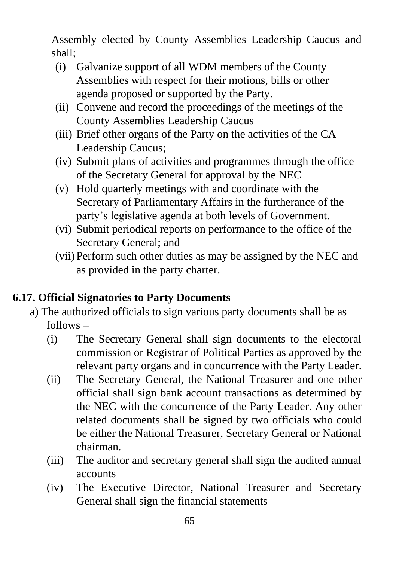Assembly elected by County Assemblies Leadership Caucus and shall;

- (i) Galvanize support of all WDM members of the County Assemblies with respect for their motions, bills or other agenda proposed or supported by the Party.
- (ii) Convene and record the proceedings of the meetings of the County Assemblies Leadership Caucus
- (iii) Brief other organs of the Party on the activities of the CA Leadership Caucus;
- (iv) Submit plans of activities and programmes through the office of the Secretary General for approval by the NEC
- (v) Hold quarterly meetings with and coordinate with the Secretary of Parliamentary Affairs in the furtherance of the party's legislative agenda at both levels of Government.
- (vi) Submit periodical reports on performance to the office of the Secretary General; and
- (vii) Perform such other duties as may be assigned by the NEC and as provided in the party charter.

# **6.17. Official Signatories to Party Documents**

- a) The authorized officials to sign various party documents shall be as follows –
	- (i) The Secretary General shall sign documents to the electoral commission or Registrar of Political Parties as approved by the relevant party organs and in concurrence with the Party Leader.
	- (ii) The Secretary General, the National Treasurer and one other official shall sign bank account transactions as determined by the NEC with the concurrence of the Party Leader. Any other related documents shall be signed by two officials who could be either the National Treasurer, Secretary General or National chairman.
	- (iii) The auditor and secretary general shall sign the audited annual accounts
	- (iv) The Executive Director, National Treasurer and Secretary General shall sign the financial statements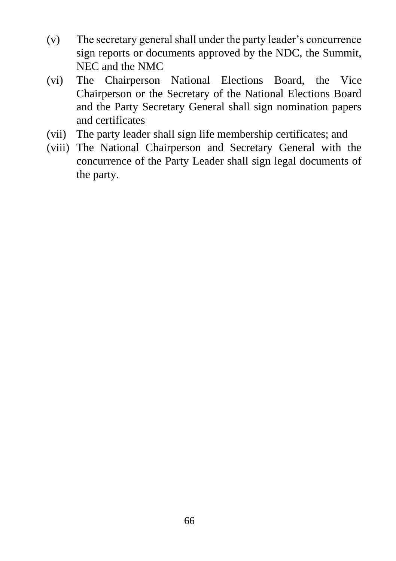- (v) The secretary general shall under the party leader's concurrence sign reports or documents approved by the NDC, the Summit, NEC and the NMC
- (vi) The Chairperson National Elections Board, the Vice Chairperson or the Secretary of the National Elections Board and the Party Secretary General shall sign nomination papers and certificates
- (vii) The party leader shall sign life membership certificates; and
- (viii) The National Chairperson and Secretary General with the concurrence of the Party Leader shall sign legal documents of the party.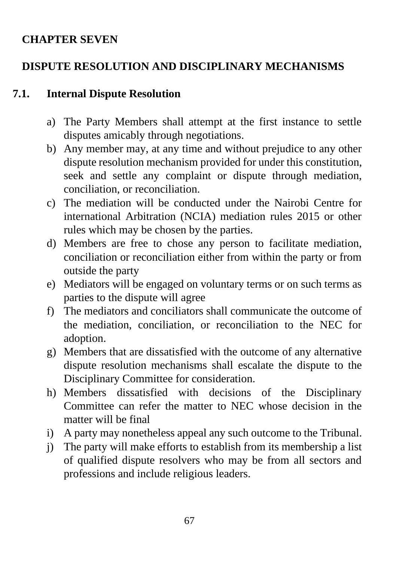#### **CHAPTER SEVEN**

## **DISPUTE RESOLUTION AND DISCIPLINARY MECHANISMS**

#### **7.1. Internal Dispute Resolution**

- a) The Party Members shall attempt at the first instance to settle disputes amicably through negotiations.
- b) Any member may, at any time and without prejudice to any other dispute resolution mechanism provided for under this constitution, seek and settle any complaint or dispute through mediation, conciliation, or reconciliation.
- c) The mediation will be conducted under the Nairobi Centre for international Arbitration (NCIA) mediation rules 2015 or other rules which may be chosen by the parties.
- d) Members are free to chose any person to facilitate mediation, conciliation or reconciliation either from within the party or from outside the party
- e) Mediators will be engaged on voluntary terms or on such terms as parties to the dispute will agree
- f) The mediators and conciliators shall communicate the outcome of the mediation, conciliation, or reconciliation to the NEC for adoption.
- g) Members that are dissatisfied with the outcome of any alternative dispute resolution mechanisms shall escalate the dispute to the Disciplinary Committee for consideration.
- h) Members dissatisfied with decisions of the Disciplinary Committee can refer the matter to NEC whose decision in the matter will be final
- i) A party may nonetheless appeal any such outcome to the Tribunal.
- j) The party will make efforts to establish from its membership a list of qualified dispute resolvers who may be from all sectors and professions and include religious leaders.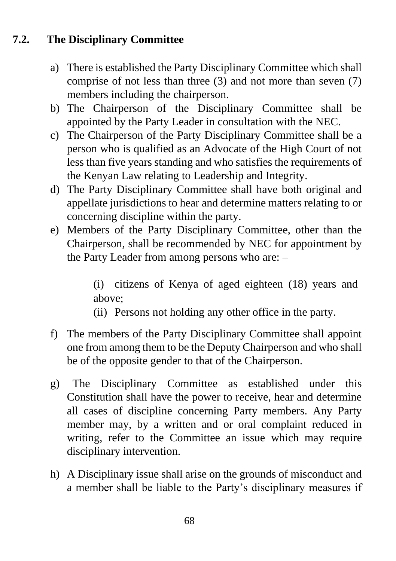# **7.2. The Disciplinary Committee**

- a) There is established the Party Disciplinary Committee which shall comprise of not less than three (3) and not more than seven (7) members including the chairperson.
- b) The Chairperson of the Disciplinary Committee shall be appointed by the Party Leader in consultation with the NEC.
- c) The Chairperson of the Party Disciplinary Committee shall be a person who is qualified as an Advocate of the High Court of not less than five years standing and who satisfies the requirements of the Kenyan Law relating to Leadership and Integrity.
- d) The Party Disciplinary Committee shall have both original and appellate jurisdictions to hear and determine matters relating to or concerning discipline within the party.
- e) Members of the Party Disciplinary Committee, other than the Chairperson, shall be recommended by NEC for appointment by the Party Leader from among persons who are: –

(i) citizens of Kenya of aged eighteen (18) years and above;

- (ii) Persons not holding any other office in the party.
- f) The members of the Party Disciplinary Committee shall appoint one from among them to be the Deputy Chairperson and who shall be of the opposite gender to that of the Chairperson.
- g) The Disciplinary Committee as established under this Constitution shall have the power to receive, hear and determine all cases of discipline concerning Party members. Any Party member may, by a written and or oral complaint reduced in writing, refer to the Committee an issue which may require disciplinary intervention.
- h) A Disciplinary issue shall arise on the grounds of misconduct and a member shall be liable to the Party's disciplinary measures if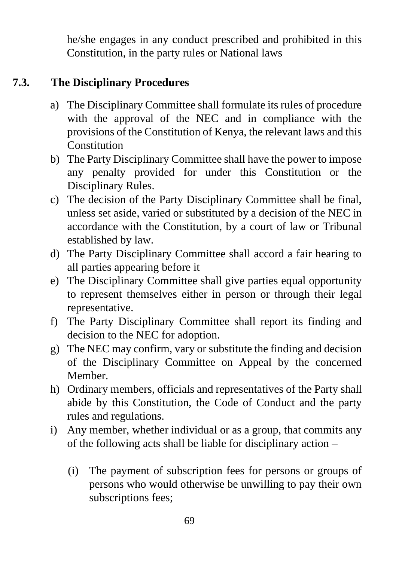he/she engages in any conduct prescribed and prohibited in this Constitution, in the party rules or National laws

#### **7.3. The Disciplinary Procedures**

- a) The Disciplinary Committee shall formulate its rules of procedure with the approval of the NEC and in compliance with the provisions of the Constitution of Kenya, the relevant laws and this **Constitution**
- b) The Party Disciplinary Committee shall have the power to impose any penalty provided for under this Constitution or the Disciplinary Rules.
- c) The decision of the Party Disciplinary Committee shall be final, unless set aside, varied or substituted by a decision of the NEC in accordance with the Constitution, by a court of law or Tribunal established by law.
- d) The Party Disciplinary Committee shall accord a fair hearing to all parties appearing before it
- e) The Disciplinary Committee shall give parties equal opportunity to represent themselves either in person or through their legal representative.
- f) The Party Disciplinary Committee shall report its finding and decision to the NEC for adoption.
- g) The NEC may confirm, vary or substitute the finding and decision of the Disciplinary Committee on Appeal by the concerned Member.
- h) Ordinary members, officials and representatives of the Party shall abide by this Constitution, the Code of Conduct and the party rules and regulations.
- i) Any member, whether individual or as a group, that commits any of the following acts shall be liable for disciplinary action –
	- (i) The payment of subscription fees for persons or groups of persons who would otherwise be unwilling to pay their own subscriptions fees;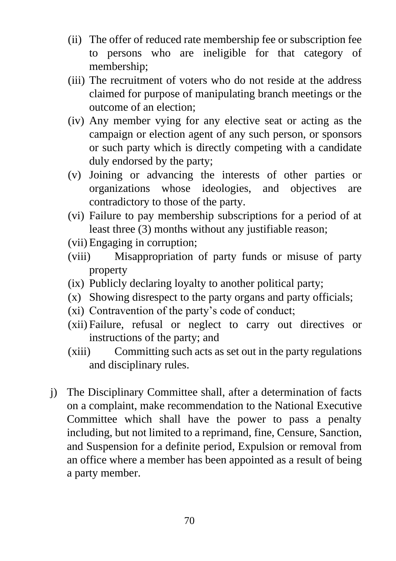- (ii) The offer of reduced rate membership fee or subscription fee to persons who are ineligible for that category of membership;
- (iii) The recruitment of voters who do not reside at the address claimed for purpose of manipulating branch meetings or the outcome of an election;
- (iv) Any member vying for any elective seat or acting as the campaign or election agent of any such person, or sponsors or such party which is directly competing with a candidate duly endorsed by the party;
- (v) Joining or advancing the interests of other parties or organizations whose ideologies, and objectives are contradictory to those of the party.
- (vi) Failure to pay membership subscriptions for a period of at least three (3) months without any justifiable reason;
- (vii) Engaging in corruption;
- (viii) Misappropriation of party funds or misuse of party property
- (ix) Publicly declaring loyalty to another political party;
- (x) Showing disrespect to the party organs and party officials;
- (xi) Contravention of the party's code of conduct;
- (xii) Failure, refusal or neglect to carry out directives or instructions of the party; and
- (xiii) Committing such acts as set out in the party regulations and disciplinary rules.
- j) The Disciplinary Committee shall, after a determination of facts on a complaint, make recommendation to the National Executive Committee which shall have the power to pass a penalty including, but not limited to a reprimand, fine, Censure, Sanction, and Suspension for a definite period, Expulsion or removal from an office where a member has been appointed as a result of being a party member.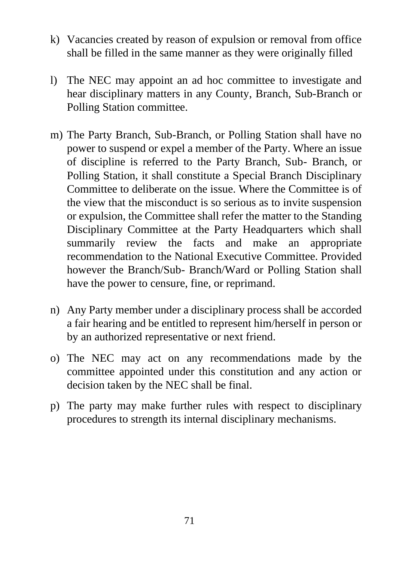- k) Vacancies created by reason of expulsion or removal from office shall be filled in the same manner as they were originally filled
- l) The NEC may appoint an ad hoc committee to investigate and hear disciplinary matters in any County, Branch, Sub-Branch or Polling Station committee.
- m) The Party Branch, Sub-Branch, or Polling Station shall have no power to suspend or expel a member of the Party. Where an issue of discipline is referred to the Party Branch, Sub- Branch, or Polling Station, it shall constitute a Special Branch Disciplinary Committee to deliberate on the issue. Where the Committee is of the view that the misconduct is so serious as to invite suspension or expulsion, the Committee shall refer the matter to the Standing Disciplinary Committee at the Party Headquarters which shall summarily review the facts and make an appropriate recommendation to the National Executive Committee. Provided however the Branch/Sub- Branch/Ward or Polling Station shall have the power to censure, fine, or reprimand.
- n) Any Party member under a disciplinary process shall be accorded a fair hearing and be entitled to represent him/herself in person or by an authorized representative or next friend.
- o) The NEC may act on any recommendations made by the committee appointed under this constitution and any action or decision taken by the NEC shall be final.
- p) The party may make further rules with respect to disciplinary procedures to strength its internal disciplinary mechanisms.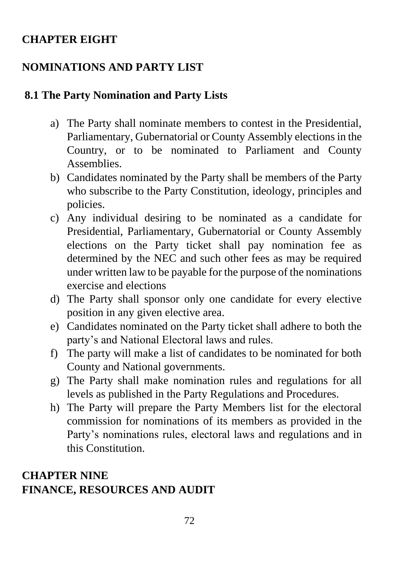#### **CHAPTER EIGHT**

# **NOMINATIONS AND PARTY LIST**

#### **8.1 The Party Nomination and Party Lists**

- a) The Party shall nominate members to contest in the Presidential, Parliamentary, Gubernatorial or County Assembly elections in the Country, or to be nominated to Parliament and County Assemblies.
- b) Candidates nominated by the Party shall be members of the Party who subscribe to the Party Constitution, ideology, principles and policies.
- c) Any individual desiring to be nominated as a candidate for Presidential, Parliamentary, Gubernatorial or County Assembly elections on the Party ticket shall pay nomination fee as determined by the NEC and such other fees as may be required under written law to be payable for the purpose of the nominations exercise and elections
- d) The Party shall sponsor only one candidate for every elective position in any given elective area.
- e) Candidates nominated on the Party ticket shall adhere to both the party's and National Electoral laws and rules.
- f) The party will make a list of candidates to be nominated for both County and National governments.
- g) The Party shall make nomination rules and regulations for all levels as published in the Party Regulations and Procedures.
- h) The Party will prepare the Party Members list for the electoral commission for nominations of its members as provided in the Party's nominations rules, electoral laws and regulations and in this Constitution.

### **CHAPTER NINE FINANCE, RESOURCES AND AUDIT**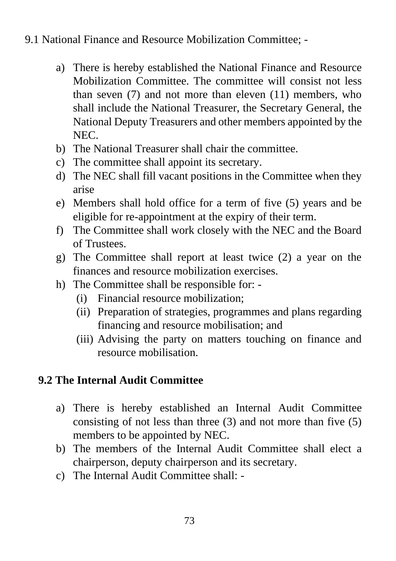#### 9.1 National Finance and Resource Mobilization Committee; -

- a) There is hereby established the National Finance and Resource Mobilization Committee. The committee will consist not less than seven (7) and not more than eleven (11) members, who shall include the National Treasurer, the Secretary General, the National Deputy Treasurers and other members appointed by the NEC.
- b) The National Treasurer shall chair the committee.
- c) The committee shall appoint its secretary.
- d) The NEC shall fill vacant positions in the Committee when they arise
- e) Members shall hold office for a term of five (5) years and be eligible for re-appointment at the expiry of their term.
- f) The Committee shall work closely with the NEC and the Board of Trustees.
- g) The Committee shall report at least twice (2) a year on the finances and resource mobilization exercises.
- h) The Committee shall be responsible for:
	- (i) Financial resource mobilization;
	- (ii) Preparation of strategies, programmes and plans regarding financing and resource mobilisation; and
	- (iii) Advising the party on matters touching on finance and resource mobilisation.

# **9.2 The Internal Audit Committee**

- a) There is hereby established an Internal Audit Committee consisting of not less than three (3) and not more than five (5) members to be appointed by NEC.
- b) The members of the Internal Audit Committee shall elect a chairperson, deputy chairperson and its secretary.
- c) The Internal Audit Committee shall: -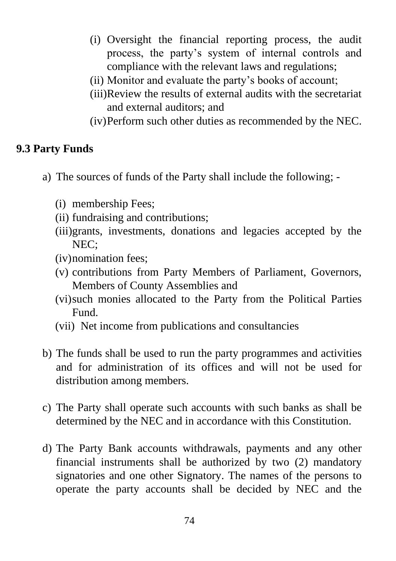- (i) Oversight the financial reporting process, the audit process, the party's system of internal controls and compliance with the relevant laws and regulations;
- (ii) Monitor and evaluate the party's books of account;
- (iii)Review the results of external audits with the secretariat and external auditors; and
- (iv)Perform such other duties as recommended by the NEC.

# **9.3 Party Funds**

- a) The sources of funds of the Party shall include the following;
	- (i) membership Fees;
	- (ii) fundraising and contributions;
	- (iii)grants, investments, donations and legacies accepted by the NEC;
	- (iv)nomination fees;
	- (v) contributions from Party Members of Parliament, Governors, Members of County Assemblies and
	- (vi)such monies allocated to the Party from the Political Parties Fund.
	- (vii) Net income from publications and consultancies
- b) The funds shall be used to run the party programmes and activities and for administration of its offices and will not be used for distribution among members.
- c) The Party shall operate such accounts with such banks as shall be determined by the NEC and in accordance with this Constitution.
- d) The Party Bank accounts withdrawals, payments and any other financial instruments shall be authorized by two (2) mandatory signatories and one other Signatory. The names of the persons to operate the party accounts shall be decided by NEC and the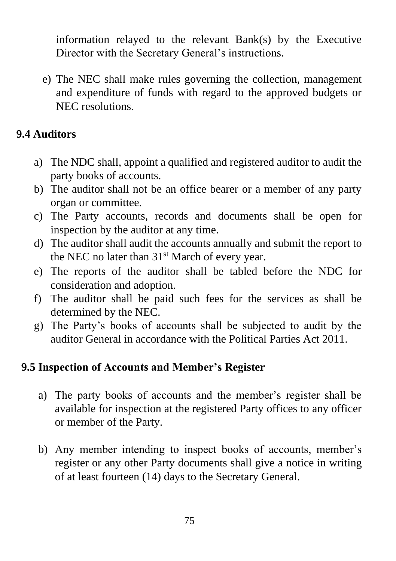information relayed to the relevant Bank(s) by the Executive Director with the Secretary General's instructions.

e) The NEC shall make rules governing the collection, management and expenditure of funds with regard to the approved budgets or NEC resolutions.

# **9.4 Auditors**

- a) The NDC shall, appoint a qualified and registered auditor to audit the party books of accounts.
- b) The auditor shall not be an office bearer or a member of any party organ or committee.
- c) The Party accounts, records and documents shall be open for inspection by the auditor at any time.
- d) The auditor shall audit the accounts annually and submit the report to the NEC no later than  $31<sup>st</sup>$  March of every year.
- e) The reports of the auditor shall be tabled before the NDC for consideration and adoption.
- f) The auditor shall be paid such fees for the services as shall be determined by the NEC.
- g) The Party's books of accounts shall be subjected to audit by the auditor General in accordance with the Political Parties Act 2011.

#### **9.5 Inspection of Accounts and Member's Register**

- a) The party books of accounts and the member's register shall be available for inspection at the registered Party offices to any officer or member of the Party.
- b) Any member intending to inspect books of accounts, member's register or any other Party documents shall give a notice in writing of at least fourteen (14) days to the Secretary General.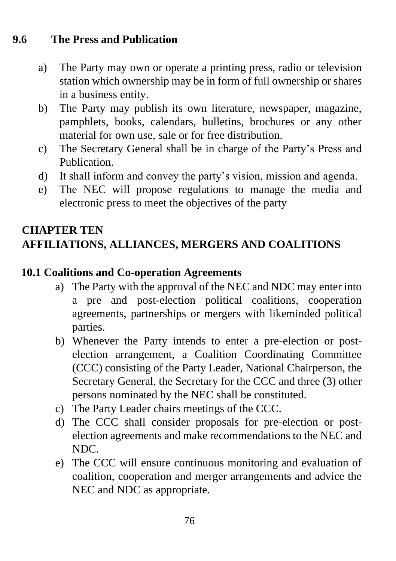## **9.6 The Press and Publication**

- a) The Party may own or operate a printing press, radio or television station which ownership may be in form of full ownership or shares in a business entity.
- b) The Party may publish its own literature, newspaper, magazine, pamphlets, books, calendars, bulletins, brochures or any other material for own use, sale or for free distribution.
- c) The Secretary General shall be in charge of the Party's Press and Publication.
- d) It shall inform and convey the party's vision, mission and agenda.
- e) The NEC will propose regulations to manage the media and electronic press to meet the objectives of the party

# **CHAPTER TEN AFFILIATIONS, ALLIANCES, MERGERS AND COALITIONS**

#### **10.1 Coalitions and Co-operation Agreements**

- a) The Party with the approval of the NEC and NDC may enter into a pre and post-election political coalitions, cooperation agreements, partnerships or mergers with likeminded political parties.
- b) Whenever the Party intends to enter a pre-election or postelection arrangement, a Coalition Coordinating Committee (CCC) consisting of the Party Leader, National Chairperson, the Secretary General, the Secretary for the CCC and three (3) other persons nominated by the NEC shall be constituted.
- c) The Party Leader chairs meetings of the CCC.
- d) The CCC shall consider proposals for pre-election or postelection agreements and make recommendations to the NEC and NDC.
- e) The CCC will ensure continuous monitoring and evaluation of coalition, cooperation and merger arrangements and advice the NEC and NDC as appropriate.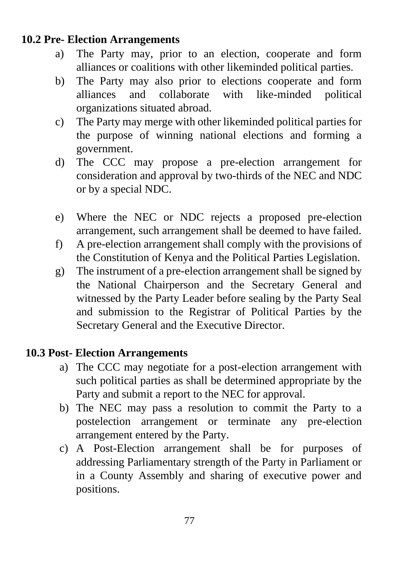#### **10.2 Pre- Election Arrangements**

- a) The Party may, prior to an election, cooperate and form alliances or coalitions with other likeminded political parties.
- b) The Party may also prior to elections cooperate and form alliances and collaborate with like-minded political organizations situated abroad.
- c) The Party may merge with other likeminded political parties for the purpose of winning national elections and forming a government.
- d) The CCC may propose a pre-election arrangement for consideration and approval by two-thirds of the NEC and NDC or by a special NDC.
- e) Where the NEC or NDC rejects a proposed pre-election arrangement, such arrangement shall be deemed to have failed.
- f) A pre-election arrangement shall comply with the provisions of the Constitution of Kenya and the Political Parties Legislation.
- g) The instrument of a pre-election arrangement shall be signed by the National Chairperson and the Secretary General and witnessed by the Party Leader before sealing by the Party Seal and submission to the Registrar of Political Parties by the Secretary General and the Executive Director.

## **10.3 Post- Election Arrangements**

- a) The CCC may negotiate for a post-election arrangement with such political parties as shall be determined appropriate by the Party and submit a report to the NEC for approval.
- b) The NEC may pass a resolution to commit the Party to a postelection arrangement or terminate any pre-election arrangement entered by the Party.
- c) A Post-Election arrangement shall be for purposes of addressing Parliamentary strength of the Party in Parliament or in a County Assembly and sharing of executive power and positions.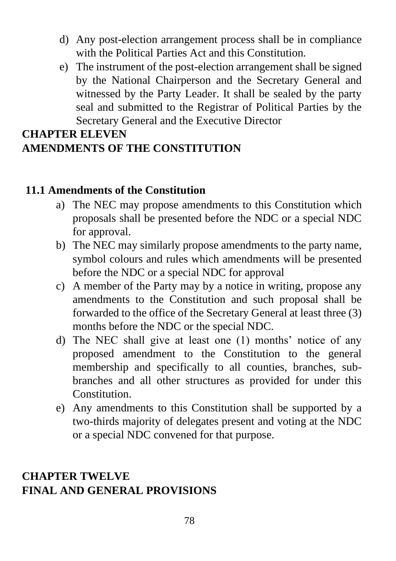- d) Any post-election arrangement process shall be in compliance with the Political Parties Act and this Constitution.
- e) The instrument of the post-election arrangement shall be signed by the National Chairperson and the Secretary General and witnessed by the Party Leader. It shall be sealed by the party seal and submitted to the Registrar of Political Parties by the Secretary General and the Executive Director

#### **CHAPTER ELEVEN AMENDMENTS OF THE CONSTITUTION**

#### **11.1 Amendments of the Constitution**

- a) The NEC may propose amendments to this Constitution which proposals shall be presented before the NDC or a special NDC for approval.
- b) The NEC may similarly propose amendments to the party name, symbol colours and rules which amendments will be presented before the NDC or a special NDC for approval
- c) A member of the Party may by a notice in writing, propose any amendments to the Constitution and such proposal shall be forwarded to the office of the Secretary General at least three (3) months before the NDC or the special NDC.
- d) The NEC shall give at least one (1) months' notice of any proposed amendment to the Constitution to the general membership and specifically to all counties, branches, subbranches and all other structures as provided for under this Constitution.
- e) Any amendments to this Constitution shall be supported by a two-thirds majority of delegates present and voting at the NDC or a special NDC convened for that purpose.

#### **CHAPTER TWELVE FINAL AND GENERAL PROVISIONS**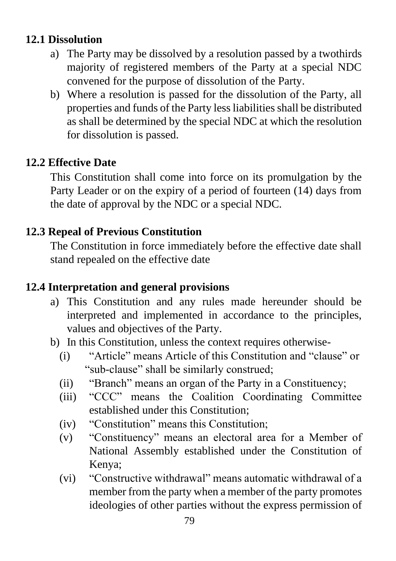## **12.1 Dissolution**

- a) The Party may be dissolved by a resolution passed by a twothirds majority of registered members of the Party at a special NDC convened for the purpose of dissolution of the Party.
- b) Where a resolution is passed for the dissolution of the Party, all properties and funds of the Party less liabilities shall be distributed as shall be determined by the special NDC at which the resolution for dissolution is passed.

#### **12.2 Effective Date**

This Constitution shall come into force on its promulgation by the Party Leader or on the expiry of a period of fourteen (14) days from the date of approval by the NDC or a special NDC.

#### **12.3 Repeal of Previous Constitution**

The Constitution in force immediately before the effective date shall stand repealed on the effective date

## **12.4 Interpretation and general provisions**

- a) This Constitution and any rules made hereunder should be interpreted and implemented in accordance to the principles, values and objectives of the Party.
- b) In this Constitution, unless the context requires otherwise-
	- (i) "Article" means Article of this Constitution and "clause" or "sub-clause" shall be similarly construed;
	- (ii) "Branch" means an organ of the Party in a Constituency;
	- (iii) "CCC" means the Coalition Coordinating Committee established under this Constitution;
	- (iv) "Constitution" means this Constitution;
	- (v) "Constituency" means an electoral area for a Member of National Assembly established under the Constitution of Kenya;
	- (vi) "Constructive withdrawal" means automatic withdrawal of a member from the party when a member of the party promotes ideologies of other parties without the express permission of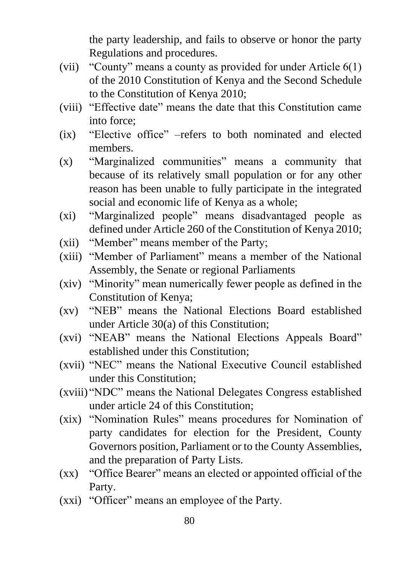the party leadership, and fails to observe or honor the party Regulations and procedures.

- (vii) "County" means a county as provided for under Article 6(1) of the 2010 Constitution of Kenya and the Second Schedule to the Constitution of Kenya 2010;
- (viii) "Effective date" means the date that this Constitution came into force;
- (ix) "Elective office" –refers to both nominated and elected members.
- (x) "Marginalized communities" means a community that because of its relatively small population or for any other reason has been unable to fully participate in the integrated social and economic life of Kenya as a whole;
- (xi) "Marginalized people" means disadvantaged people as defined under Article 260 of the Constitution of Kenya 2010;
- (xii) "Member" means member of the Party;
- (xiii) "Member of Parliament" means a member of the National Assembly, the Senate or regional Parliaments
- (xiv) "Minority" mean numerically fewer people as defined in the Constitution of Kenya;
- (xv) "NEB" means the National Elections Board established under Article 30(a) of this Constitution;
- (xvi) "NEAB" means the National Elections Appeals Board" established under this Constitution;
- (xvii) "NEC" means the National Executive Council established under this Constitution;
- (xviii) "NDC" means the National Delegates Congress established under article 24 of this Constitution;
- (xix) "Nomination Rules" means procedures for Nomination of party candidates for election for the President, County Governors position, Parliament or to the County Assemblies, and the preparation of Party Lists.
- (xx) "Office Bearer" means an elected or appointed official of the Party.
- (xxi) "Officer" means an employee of the Party.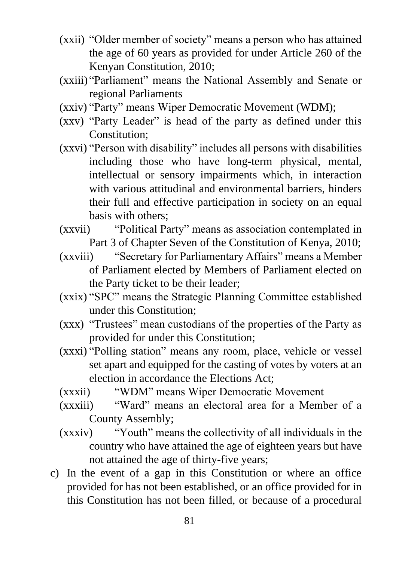- (xxii) "Older member of society" means a person who has attained the age of 60 years as provided for under Article 260 of the Kenyan Constitution, 2010;
- (xxiii) "Parliament" means the National Assembly and Senate or regional Parliaments
- (xxiv) "Party" means Wiper Democratic Movement (WDM);
- (xxv) "Party Leader" is head of the party as defined under this Constitution;
- (xxvi) "Person with disability" includes all persons with disabilities including those who have long-term physical, mental, intellectual or sensory impairments which, in interaction with various attitudinal and environmental barriers, hinders their full and effective participation in society on an equal basis with others;
- (xxvii) "Political Party" means as association contemplated in Part 3 of Chapter Seven of the Constitution of Kenya, 2010;
- (xxviii) "Secretary for Parliamentary Affairs" means a Member of Parliament elected by Members of Parliament elected on the Party ticket to be their leader;
- (xxix) "SPC" means the Strategic Planning Committee established under this Constitution;
- (xxx) "Trustees" mean custodians of the properties of the Party as provided for under this Constitution;
- (xxxi) "Polling station" means any room, place, vehicle or vessel set apart and equipped for the casting of votes by voters at an election in accordance the Elections Act;
- (xxxii) "WDM" means Wiper Democratic Movement
- (xxxiii) "Ward" means an electoral area for a Member of a County Assembly;
- (xxxiv) "Youth" means the collectivity of all individuals in the country who have attained the age of eighteen years but have not attained the age of thirty-five years;
- c) In the event of a gap in this Constitution or where an office provided for has not been established, or an office provided for in this Constitution has not been filled, or because of a procedural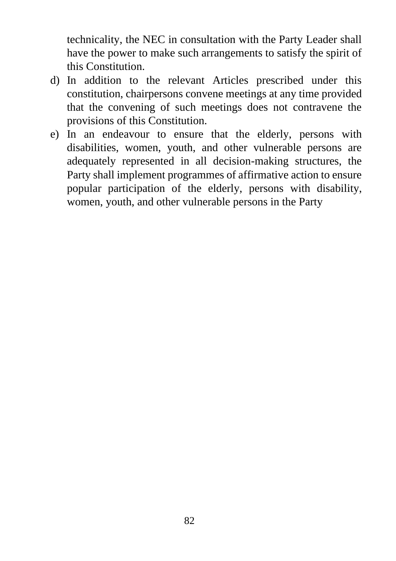technicality, the NEC in consultation with the Party Leader shall have the power to make such arrangements to satisfy the spirit of this Constitution.

- d) In addition to the relevant Articles prescribed under this constitution, chairpersons convene meetings at any time provided that the convening of such meetings does not contravene the provisions of this Constitution.
- e) In an endeavour to ensure that the elderly, persons with disabilities, women, youth, and other vulnerable persons are adequately represented in all decision-making structures, the Party shall implement programmes of affirmative action to ensure popular participation of the elderly, persons with disability, women, youth, and other vulnerable persons in the Party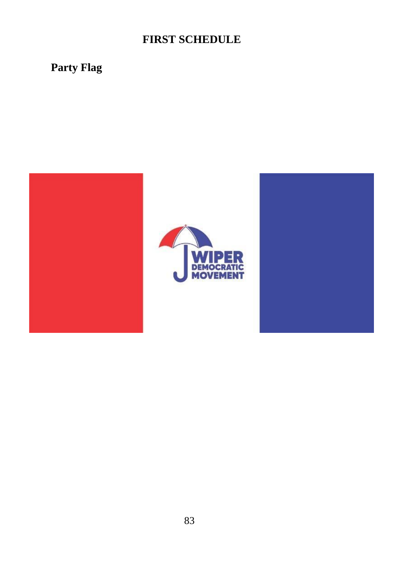# **FIRST SCHEDULE**

# **Party Flag**

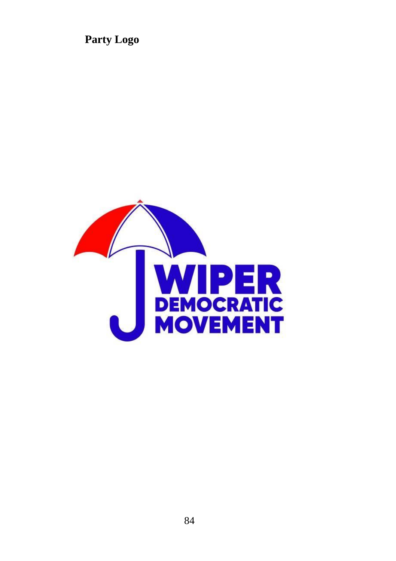**Party Logo**